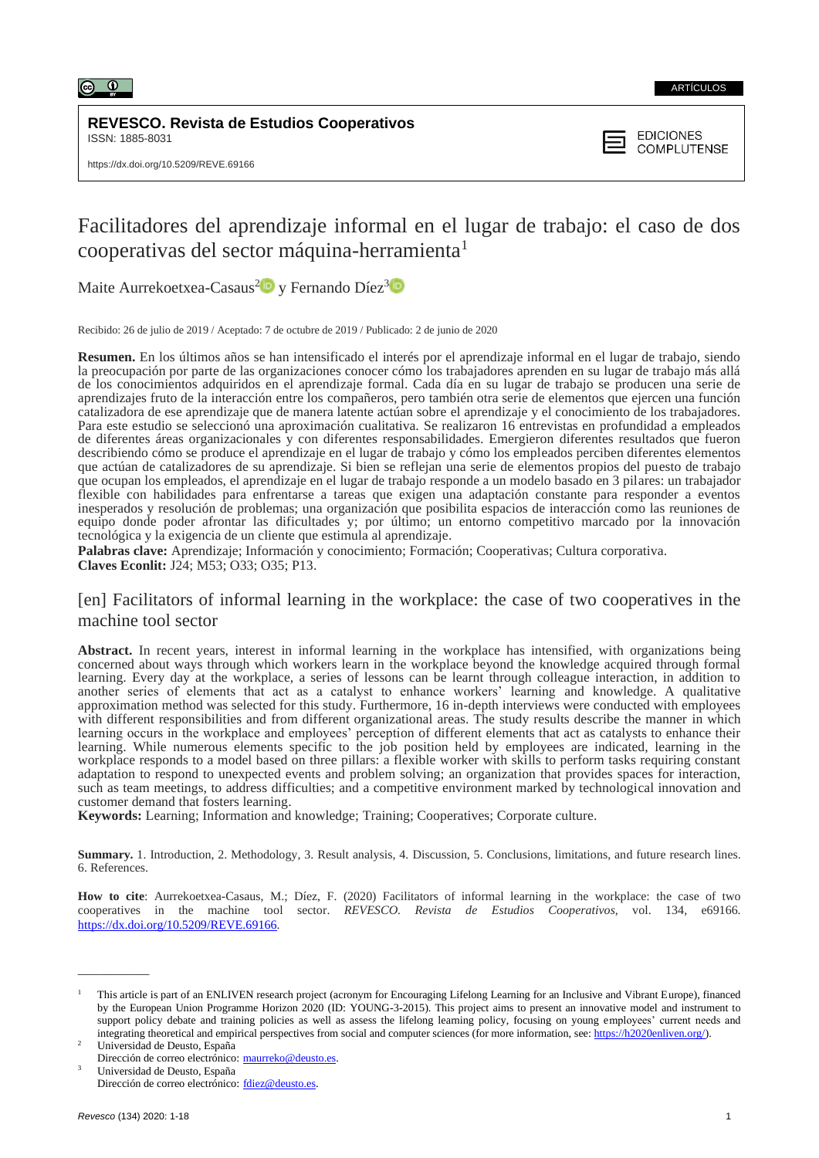

**REVESCO. Revista de Estudios Cooperativos** ISSN: 1885-8031

**EDICIONES COMPLUTENSE** 

# Facilitadores del aprendizaje informal en el lugar de trabajo: el caso de dos cooperativas del sector máquina-herramienta<sup>1</sup>

Maite Aurrekoetxea-Casaus<sup>[2](https://orcid.org/0000-0003-3047-7355)1</sup> y Fernando Díez<sup>[3](https://orcid.org/0000-0002-7522-5189)</sup>

Recibido: 26 de julio de 2019 / Aceptado: 7 de octubre de 2019 / Publicado: 2 de junio de 2020

**Resumen.** En los últimos años se han intensificado el interés por el aprendizaje informal en el lugar de trabajo, siendo la preocupación por parte de las organizaciones conocer cómo los trabajadores aprenden en su lugar de trabajo más allá de los conocimientos adquiridos en el aprendizaje formal. Cada día en su lugar de trabajo se producen una serie de aprendizajes fruto de la interacción entre los compañeros, pero también otra serie de elementos que ejercen una función catalizadora de ese aprendizaje que de manera latente actúan sobre el aprendizaje y el conocimiento de los trabajadores. Para este estudio se seleccionó una aproximación cualitativa. Se realizaron 16 entrevistas en profundidad a empleados de diferentes áreas organizacionales y con diferentes responsabilidades. Emergieron diferentes resultados que fueron describiendo cómo se produce el aprendizaje en el lugar de trabajo y cómo los empleados perciben diferentes elementos que actúan de catalizadores de su aprendizaje. Si bien se reflejan una serie de elementos propios del puesto de trabajo que ocupan los empleados, el aprendizaje en el lugar de trabajo responde a un modelo basado en 3 pilares: un trabajador flexible con habilidades para enfrentarse a tareas que exigen una adaptación constante para responder a eventos inesperados y resolución de problemas; una organización que posibilita espacios de interacción como las reuniones de equipo donde poder afrontar las dificultades y; por último; un entorno competitivo marcado por la innovación tecnológica y la exigencia de un cliente que estimula al aprendizaje.

**Palabras clave:** Aprendizaje; Información y conocimiento; Formación; Cooperativas; Cultura corporativa. **Claves Econlit:** J24; M53; O33; O35; P13.

# [en] Facilitators of informal learning in the workplace: the case of two cooperatives in the machine tool sector

**Abstract.** In recent years, interest in informal learning in the workplace has intensified, with organizations being concerned about ways through which workers learn in the workplace beyond the knowledge acquired through formal learning. Every day at the workplace, a series of lessons can be learnt through colleague interaction, in addition to another series of elements that act as a catalyst to enhance workers' learning and knowledge. A qualitative approximation method was selected for this study. Furthermore, 16 in-depth interviews were conducted with employees with different responsibilities and from different organizational areas. The study results describe the manner in which learning occurs in the workplace and employees' perception of different elements that act as catalysts to enhance their learning. While numerous elements specific to the job position held by employees are indicated, learning in the workplace responds to a model based on three pillars: a flexible worker with skills to perform tasks requiring constant adaptation to respond to unexpected events and problem solving; an organization that provides spaces for interaction, such as team meetings, to address difficulties; and a competitive environment marked by technological innovation and customer demand that fosters learning.

**Keywords:** Learning; Information and knowledge; Training; Cooperatives; Corporate culture.

**Summary.** 1. Introduction, 2. Methodology, 3. Result analysis, 4. Discussion, 5. Conclusions, limitations, and future research lines. 6. References.

**How to cite**: Aurrekoetxea-Casaus, M.; Díez, F. (2020) Facilitators of informal learning in the workplace: the case of two cooperatives in the machine tool sector. *REVESCO. Revista de Estudios Cooperativos*, vol. 134, e69166. [https://dx.doi.org/10.5209/REVE.69166.](https://dx.doi.org/10.5209/REVE.69166)

<sup>2</sup> Universidad de Deusto, España Dirección de correo electrónico: [maurreko@deusto.es.](mailto:maurreko@deusto.es) <sup>3</sup> Universidad de Deusto, España

\_\_\_\_\_\_\_\_\_\_\_\_\_

<sup>1</sup> This article is part of an ENLIVEN research project (acronym for Encouraging Lifelong Learning for an Inclusive and Vibrant Europe), financed by the European Union Programme Horizon 2020 (ID: YOUNG-3-2015). This project aims to present an innovative model and instrument to support policy debate and training policies as well as assess the lifelong learning policy, focusing on young employees' current needs and integrating theoretical and empirical perspectives from social and computer sciences (for more information, see: [https://h2020enliven.org/\)](https://h2020enliven.org/).

Dirección de correo electrónico: [fdiez@deusto.es.](mailto:fdiez@deusto.es)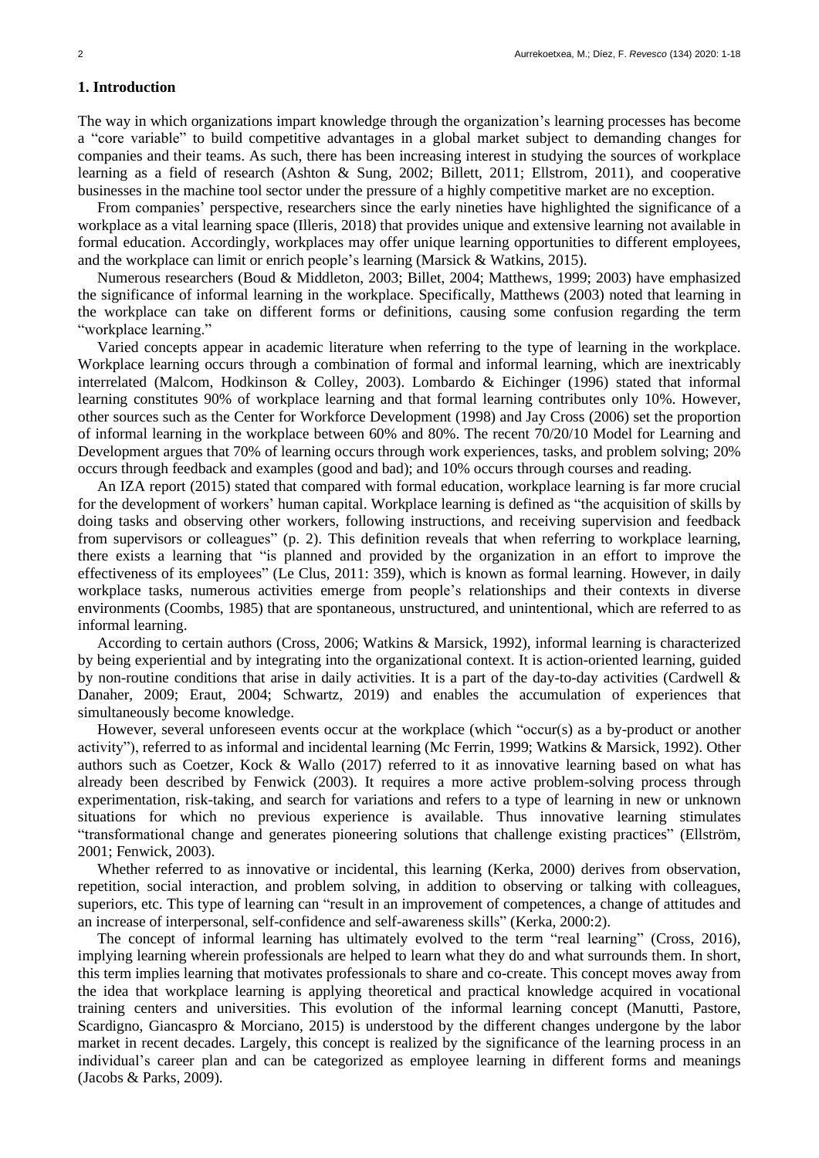# **1. Introduction**

The way in which organizations impart knowledge through the organization's learning processes has become a "core variable" to build competitive advantages in a global market subject to demanding changes for companies and their teams. As such, there has been increasing interest in studying the sources of workplace learning as a field of research (Ashton & Sung, 2002; Billett, 2011; Ellstrom, 2011), and cooperative businesses in the machine tool sector under the pressure of a highly competitive market are no exception.

From companies' perspective, researchers since the early nineties have highlighted the significance of a workplace as a vital learning space (Illeris, 2018) that provides unique and extensive learning not available in formal education. Accordingly, workplaces may offer unique learning opportunities to different employees, and the workplace can limit or enrich people's learning (Marsick & Watkins, 2015).

Numerous researchers (Boud & Middleton, 2003; Billet, 2004; Matthews, 1999; 2003) have emphasized the significance of informal learning in the workplace. Specifically, Matthews (2003) noted that learning in the workplace can take on different forms or definitions, causing some confusion regarding the term "workplace learning."

Varied concepts appear in academic literature when referring to the type of learning in the workplace. Workplace learning occurs through a combination of formal and informal learning, which are inextricably interrelated (Malcom, Hodkinson & Colley, 2003). Lombardo & Eichinger (1996) stated that informal learning constitutes 90% of workplace learning and that formal learning contributes only 10%. However, other sources such as the Center for Workforce Development (1998) and Jay Cross (2006) set the proportion of informal learning in the workplace between 60% and 80%. The recent 70/20/10 Model for Learning and Development argues that 70% of learning occurs through work experiences, tasks, and problem solving; 20% occurs through feedback and examples (good and bad); and 10% occurs through courses and reading.

An IZA report (2015) stated that compared with formal education, workplace learning is far more crucial for the development of workers' human capital. Workplace learning is defined as "the acquisition of skills by doing tasks and observing other workers, following instructions, and receiving supervision and feedback from supervisors or colleagues" (p. 2). This definition reveals that when referring to workplace learning, there exists a learning that "is planned and provided by the organization in an effort to improve the effectiveness of its employees" (Le Clus, 2011: 359), which is known as formal learning. However, in daily workplace tasks, numerous activities emerge from people's relationships and their contexts in diverse environments (Coombs, 1985) that are spontaneous, unstructured, and unintentional, which are referred to as informal learning.

According to certain authors (Cross, 2006; Watkins & Marsick, 1992), informal learning is characterized by being experiential and by integrating into the organizational context. It is action-oriented learning, guided by non-routine conditions that arise in daily activities. It is a part of the day-to-day activities (Cardwell & Danaher, 2009; Eraut, 2004; Schwartz, 2019) and enables the accumulation of experiences that simultaneously become knowledge.

However, several unforeseen events occur at the workplace (which "occur(s) as a by-product or another activity"), referred to as informal and incidental learning (Mc Ferrin, 1999; Watkins & Marsick, 1992). Other authors such as Coetzer, Kock & Wallo (2017) referred to it as innovative learning based on what has already been described by Fenwick (2003). It requires a more active problem-solving process through experimentation, risk-taking, and search for variations and refers to a type of learning in new or unknown situations for which no previous experience is available. Thus innovative learning stimulates "transformational change and generates pioneering solutions that challenge existing practices" (Ellström, 2001; Fenwick, 2003).

Whether referred to as innovative or incidental, this learning (Kerka, 2000) derives from observation, repetition, social interaction, and problem solving, in addition to observing or talking with colleagues, superiors, etc. This type of learning can "result in an improvement of competences, a change of attitudes and an increase of interpersonal, self-confidence and self-awareness skills" (Kerka, 2000:2).

The concept of informal learning has ultimately evolved to the term "real learning" (Cross, 2016), implying learning wherein professionals are helped to learn what they do and what surrounds them. In short, this term implies learning that motivates professionals to share and co-create. This concept moves away from the idea that workplace learning is applying theoretical and practical knowledge acquired in vocational training centers and universities. This evolution of the informal learning concept (Manutti, Pastore, Scardigno, Giancaspro & Morciano, 2015) is understood by the different changes undergone by the labor market in recent decades. Largely, this concept is realized by the significance of the learning process in an individual's career plan and can be categorized as employee learning in different forms and meanings (Jacobs & Parks, 2009).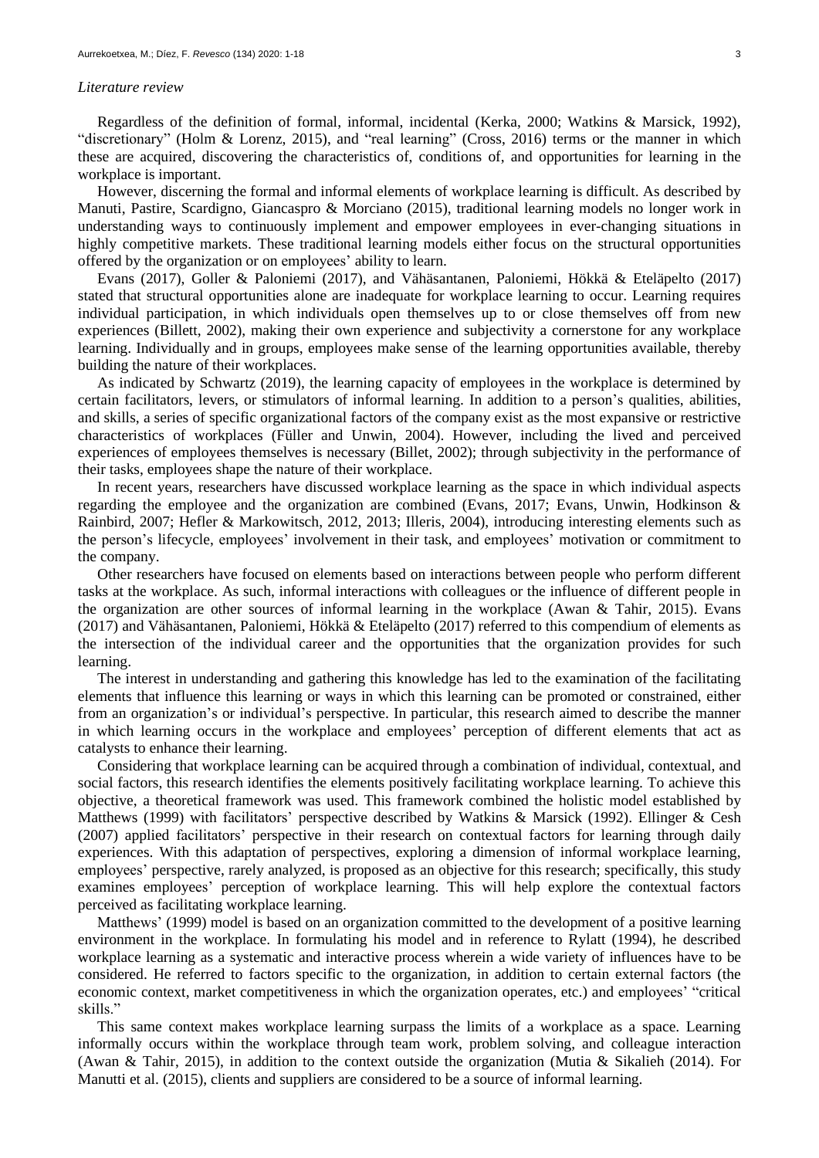#### *Literature review*

Regardless of the definition of formal, informal, incidental (Kerka, 2000; Watkins & Marsick, 1992), "discretionary" (Holm & Lorenz, 2015), and "real learning" (Cross, 2016) terms or the manner in which these are acquired, discovering the characteristics of, conditions of, and opportunities for learning in the workplace is important.

However, discerning the formal and informal elements of workplace learning is difficult. As described by Manuti, Pastire, Scardigno, Giancaspro & Morciano (2015), traditional learning models no longer work in understanding ways to continuously implement and empower employees in ever-changing situations in highly competitive markets. These traditional learning models either focus on the structural opportunities offered by the organization or on employees' ability to learn.

Evans (2017), Goller & Paloniemi (2017), and Vähäsantanen, Paloniemi, Hökkä & Eteläpelto (2017) stated that structural opportunities alone are inadequate for workplace learning to occur. Learning requires individual participation, in which individuals open themselves up to or close themselves off from new experiences (Billett, 2002), making their own experience and subjectivity a cornerstone for any workplace learning. Individually and in groups, employees make sense of the learning opportunities available, thereby building the nature of their workplaces.

As indicated by Schwartz (2019), the learning capacity of employees in the workplace is determined by certain facilitators, levers, or stimulators of informal learning. In addition to a person's qualities, abilities, and skills, a series of specific organizational factors of the company exist as the most expansive or restrictive characteristics of workplaces (Füller and Unwin, 2004). However, including the lived and perceived experiences of employees themselves is necessary (Billet, 2002); through subjectivity in the performance of their tasks, employees shape the nature of their workplace.

In recent years, researchers have discussed workplace learning as the space in which individual aspects regarding the employee and the organization are combined (Evans, 2017; Evans, Unwin, Hodkinson & Rainbird, 2007; Hefler & Markowitsch, 2012, 2013; Illeris, 2004), introducing interesting elements such as the person's lifecycle, employees' involvement in their task, and employees' motivation or commitment to the company.

Other researchers have focused on elements based on interactions between people who perform different tasks at the workplace. As such, informal interactions with colleagues or the influence of different people in the organization are other sources of informal learning in the workplace (Awan & Tahir, 2015). Evans (2017) and Vähäsantanen, Paloniemi, Hökkä & Eteläpelto (2017) referred to this compendium of elements as the intersection of the individual career and the opportunities that the organization provides for such learning.

The interest in understanding and gathering this knowledge has led to the examination of the facilitating elements that influence this learning or ways in which this learning can be promoted or constrained, either from an organization's or individual's perspective. In particular, this research aimed to describe the manner in which learning occurs in the workplace and employees' perception of different elements that act as catalysts to enhance their learning.

Considering that workplace learning can be acquired through a combination of individual, contextual, and social factors, this research identifies the elements positively facilitating workplace learning. To achieve this objective, a theoretical framework was used. This framework combined the holistic model established by Matthews (1999) with facilitators' perspective described by Watkins & Marsick (1992). Ellinger & Cesh (2007) applied facilitators' perspective in their research on contextual factors for learning through daily experiences. With this adaptation of perspectives, exploring a dimension of informal workplace learning, employees' perspective, rarely analyzed, is proposed as an objective for this research; specifically, this study examines employees' perception of workplace learning. This will help explore the contextual factors perceived as facilitating workplace learning.

Matthews' (1999) model is based on an organization committed to the development of a positive learning environment in the workplace. In formulating his model and in reference to Rylatt (1994), he described workplace learning as a systematic and interactive process wherein a wide variety of influences have to be considered. He referred to factors specific to the organization, in addition to certain external factors (the economic context, market competitiveness in which the organization operates, etc.) and employees' "critical skills."

This same context makes workplace learning surpass the limits of a workplace as a space. Learning informally occurs within the workplace through team work, problem solving, and colleague interaction (Awan & Tahir, 2015), in addition to the context outside the organization (Mutia & Sikalieh (2014). For Manutti et al. (2015), clients and suppliers are considered to be a source of informal learning.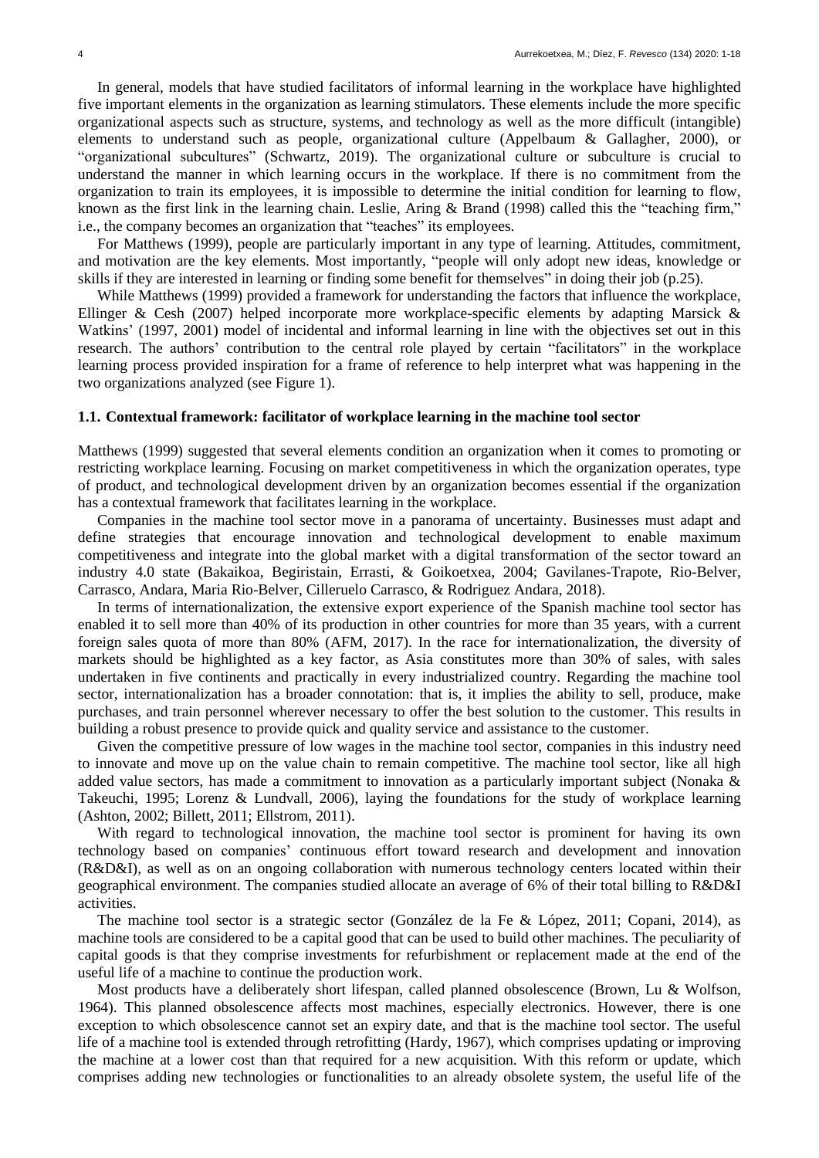In general, models that have studied facilitators of informal learning in the workplace have highlighted five important elements in the organization as learning stimulators. These elements include the more specific organizational aspects such as structure, systems, and technology as well as the more difficult (intangible) elements to understand such as people, organizational culture (Appelbaum & Gallagher, 2000), or "organizational subcultures" (Schwartz, 2019). The organizational culture or subculture is crucial to understand the manner in which learning occurs in the workplace. If there is no commitment from the organization to train its employees, it is impossible to determine the initial condition for learning to flow, known as the first link in the learning chain. Leslie, Aring & Brand (1998) called this the "teaching firm," i.e., the company becomes an organization that "teaches" its employees.

For Matthews (1999), people are particularly important in any type of learning. Attitudes, commitment, and motivation are the key elements. Most importantly, "people will only adopt new ideas, knowledge or skills if they are interested in learning or finding some benefit for themselves" in doing their job (p.25).

While Matthews (1999) provided a framework for understanding the factors that influence the workplace, Ellinger & Cesh (2007) helped incorporate more workplace-specific elements by adapting Marsick & Watkins' (1997, 2001) model of incidental and informal learning in line with the objectives set out in this research. The authors' contribution to the central role played by certain "facilitators" in the workplace learning process provided inspiration for a frame of reference to help interpret what was happening in the two organizations analyzed (see Figure 1).

### **1.1. Contextual framework: facilitator of workplace learning in the machine tool sector**

Matthews (1999) suggested that several elements condition an organization when it comes to promoting or restricting workplace learning. Focusing on market competitiveness in which the organization operates, type of product, and technological development driven by an organization becomes essential if the organization has a contextual framework that facilitates learning in the workplace.

Companies in the machine tool sector move in a panorama of uncertainty. Businesses must adapt and define strategies that encourage innovation and technological development to enable maximum competitiveness and integrate into the global market with a digital transformation of the sector toward an industry 4.0 state (Bakaikoa, Begiristain, Errasti, & Goikoetxea, 2004; Gavilanes-Trapote, Rio-Belver, Carrasco, Andara, Maria Rio-Belver, Cilleruelo Carrasco, & Rodriguez Andara, 2018).

In terms of internationalization, the extensive export experience of the Spanish machine tool sector has enabled it to sell more than 40% of its production in other countries for more than 35 years, with a current foreign sales quota of more than 80% (AFM, 2017). In the race for internationalization, the diversity of markets should be highlighted as a key factor, as Asia constitutes more than 30% of sales, with sales undertaken in five continents and practically in every industrialized country. Regarding the machine tool sector, internationalization has a broader connotation: that is, it implies the ability to sell, produce, make purchases, and train personnel wherever necessary to offer the best solution to the customer. This results in building a robust presence to provide quick and quality service and assistance to the customer.

Given the competitive pressure of low wages in the machine tool sector, companies in this industry need to innovate and move up on the value chain to remain competitive. The machine tool sector, like all high added value sectors, has made a commitment to innovation as a particularly important subject (Nonaka & Takeuchi, 1995; Lorenz & Lundvall, 2006), laying the foundations for the study of workplace learning (Ashton, 2002; Billett, 2011; Ellstrom, 2011).

With regard to technological innovation, the machine tool sector is prominent for having its own technology based on companies' continuous effort toward research and development and innovation (R&D&I), as well as on an ongoing collaboration with numerous technology centers located within their geographical environment. The companies studied allocate an average of 6% of their total billing to R&D&I activities.

The machine tool sector is a strategic sector (González de la Fe & López, 2011; Copani, 2014), as machine tools are considered to be a capital good that can be used to build other machines. The peculiarity of capital goods is that they comprise investments for refurbishment or replacement made at the end of the useful life of a machine to continue the production work.

Most products have a deliberately short lifespan, called planned obsolescence (Brown, Lu & Wolfson, 1964). This planned obsolescence affects most machines, especially electronics. However, there is one exception to which obsolescence cannot set an expiry date, and that is the machine tool sector. The useful life of a machine tool is extended through retrofitting (Hardy, 1967), which comprises updating or improving the machine at a lower cost than that required for a new acquisition. With this reform or update, which comprises adding new technologies or functionalities to an already obsolete system, the useful life of the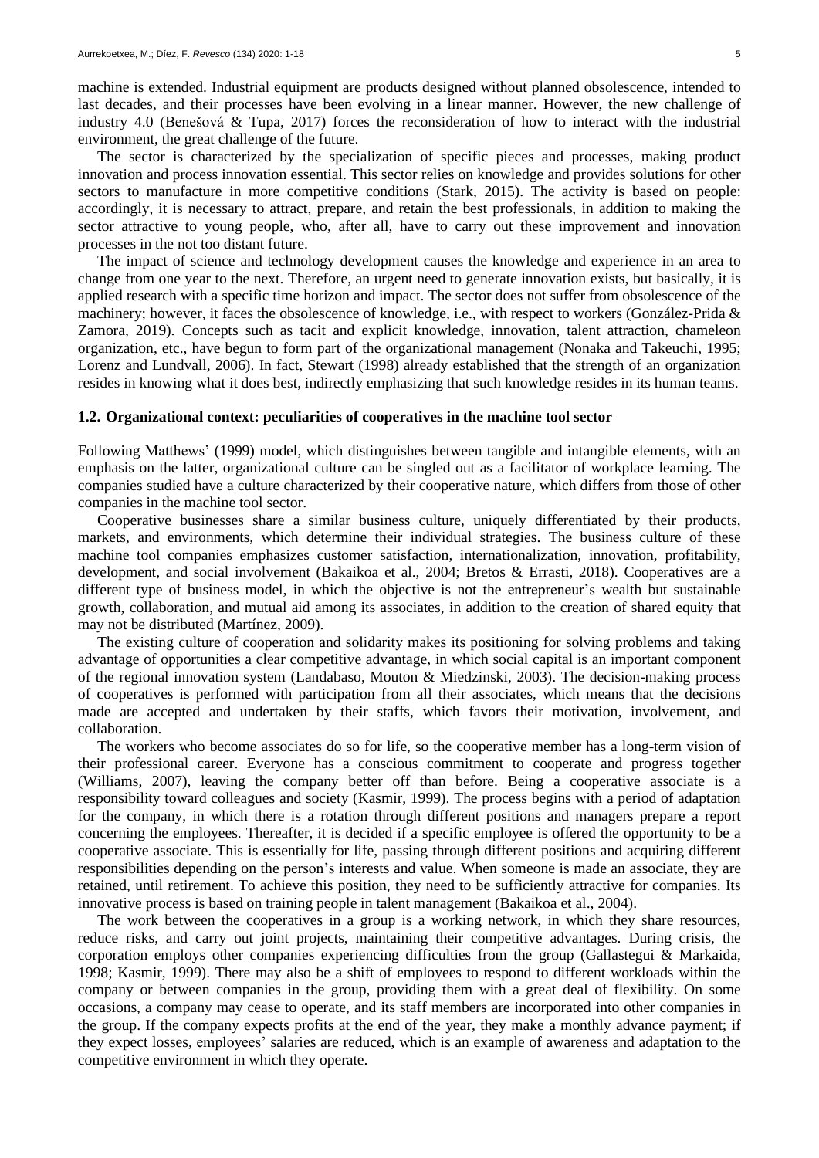machine is extended. Industrial equipment are products designed without planned obsolescence, intended to last decades, and their processes have been evolving in a linear manner. However, the new challenge of industry 4.0 (Benešová & Tupa, 2017) forces the reconsideration of how to interact with the industrial environment, the great challenge of the future.

The sector is characterized by the specialization of specific pieces and processes, making product innovation and process innovation essential. This sector relies on knowledge and provides solutions for other sectors to manufacture in more competitive conditions (Stark, 2015). The activity is based on people: accordingly, it is necessary to attract, prepare, and retain the best professionals, in addition to making the sector attractive to young people, who, after all, have to carry out these improvement and innovation processes in the not too distant future.

The impact of science and technology development causes the knowledge and experience in an area to change from one year to the next. Therefore, an urgent need to generate innovation exists, but basically, it is applied research with a specific time horizon and impact. The sector does not suffer from obsolescence of the machinery; however, it faces the obsolescence of knowledge, i.e., with respect to workers (González-Prida & Zamora, 2019). Concepts such as tacit and explicit knowledge, innovation, talent attraction, chameleon organization, etc., have begun to form part of the organizational management (Nonaka and Takeuchi, 1995; Lorenz and Lundvall, 2006). In fact, Stewart (1998) already established that the strength of an organization resides in knowing what it does best, indirectly emphasizing that such knowledge resides in its human teams.

### **1.2. Organizational context: peculiarities of cooperatives in the machine tool sector**

Following Matthews' (1999) model, which distinguishes between tangible and intangible elements, with an emphasis on the latter, organizational culture can be singled out as a facilitator of workplace learning. The companies studied have a culture characterized by their cooperative nature, which differs from those of other companies in the machine tool sector.

Cooperative businesses share a similar business culture, uniquely differentiated by their products, markets, and environments, which determine their individual strategies. The business culture of these machine tool companies emphasizes customer satisfaction, internationalization, innovation, profitability, development, and social involvement (Bakaikoa et al., 2004; Bretos & Errasti, 2018). Cooperatives are a different type of business model, in which the objective is not the entrepreneur's wealth but sustainable growth, collaboration, and mutual aid among its associates, in addition to the creation of shared equity that may not be distributed (Martínez, 2009).

The existing culture of cooperation and solidarity makes its positioning for solving problems and taking advantage of opportunities a clear competitive advantage, in which social capital is an important component of the regional innovation system (Landabaso, Mouton & Miedzinski, 2003). The decision-making process of cooperatives is performed with participation from all their associates, which means that the decisions made are accepted and undertaken by their staffs, which favors their motivation, involvement, and collaboration.

The workers who become associates do so for life, so the cooperative member has a long-term vision of their professional career. Everyone has a conscious commitment to cooperate and progress together (Williams, 2007), leaving the company better off than before. Being a cooperative associate is a responsibility toward colleagues and society (Kasmir, 1999). The process begins with a period of adaptation for the company, in which there is a rotation through different positions and managers prepare a report concerning the employees. Thereafter, it is decided if a specific employee is offered the opportunity to be a cooperative associate. This is essentially for life, passing through different positions and acquiring different responsibilities depending on the person's interests and value. When someone is made an associate, they are retained, until retirement. To achieve this position, they need to be sufficiently attractive for companies. Its innovative process is based on training people in talent management (Bakaikoa et al., 2004).

The work between the cooperatives in a group is a working network, in which they share resources, reduce risks, and carry out joint projects, maintaining their competitive advantages. During crisis, the corporation employs other companies experiencing difficulties from the group (Gallastegui & Markaida, 1998; Kasmir, 1999). There may also be a shift of employees to respond to different workloads within the company or between companies in the group, providing them with a great deal of flexibility. On some occasions, a company may cease to operate, and its staff members are incorporated into other companies in the group. If the company expects profits at the end of the year, they make a monthly advance payment; if they expect losses, employees' salaries are reduced, which is an example of awareness and adaptation to the competitive environment in which they operate.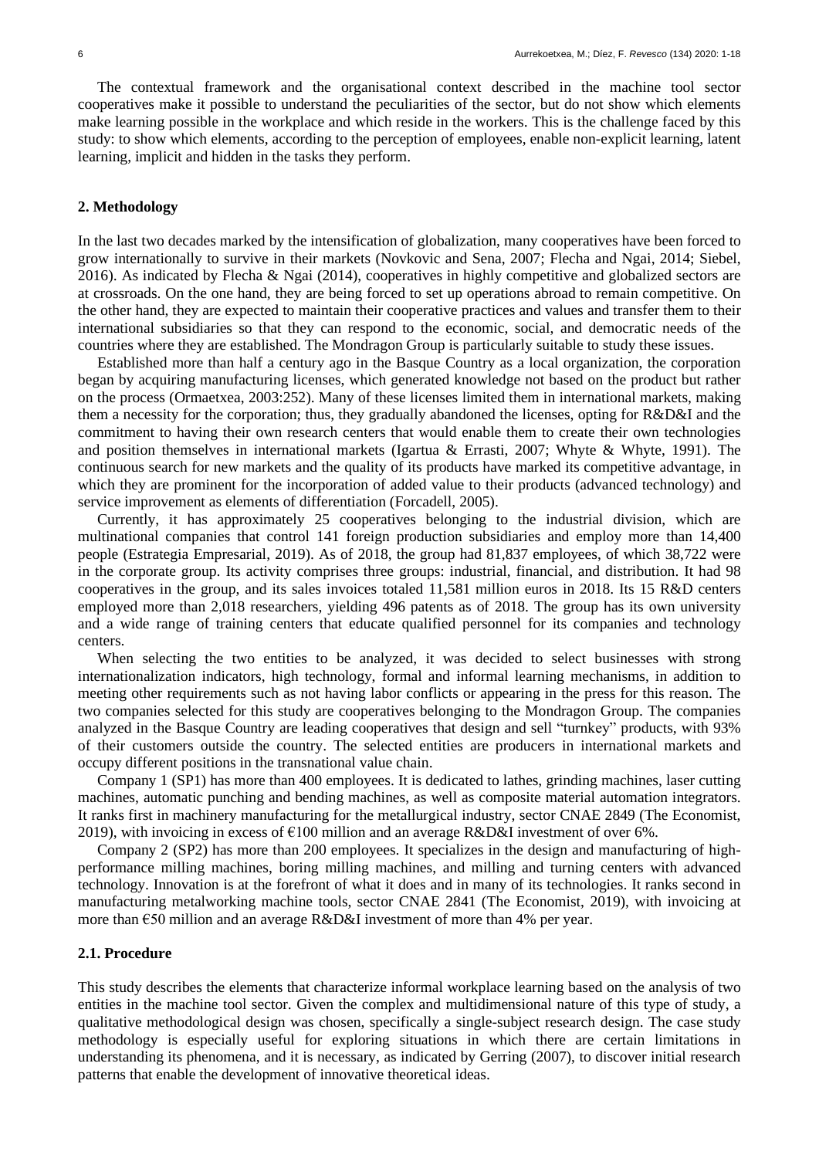The contextual framework and the organisational context described in the machine tool sector cooperatives make it possible to understand the peculiarities of the sector, but do not show which elements make learning possible in the workplace and which reside in the workers. This is the challenge faced by this study: to show which elements, according to the perception of employees, enable non-explicit learning, latent learning, implicit and hidden in the tasks they perform.

### **2. Methodology**

In the last two decades marked by the intensification of globalization, many cooperatives have been forced to grow internationally to survive in their markets (Novkovic and Sena, 2007; Flecha and Ngai, 2014; Siebel, 2016). As indicated by Flecha & Ngai (2014), cooperatives in highly competitive and globalized sectors are at crossroads. On the one hand, they are being forced to set up operations abroad to remain competitive. On the other hand, they are expected to maintain their cooperative practices and values and transfer them to their international subsidiaries so that they can respond to the economic, social, and democratic needs of the countries where they are established. The Mondragon Group is particularly suitable to study these issues.

Established more than half a century ago in the Basque Country as a local organization, the corporation began by acquiring manufacturing licenses, which generated knowledge not based on the product but rather on the process (Ormaetxea, 2003:252). Many of these licenses limited them in international markets, making them a necessity for the corporation; thus, they gradually abandoned the licenses, opting for R&D&I and the commitment to having their own research centers that would enable them to create their own technologies and position themselves in international markets (Igartua & Errasti, 2007; Whyte & Whyte, 1991). The continuous search for new markets and the quality of its products have marked its competitive advantage, in which they are prominent for the incorporation of added value to their products (advanced technology) and service improvement as elements of differentiation (Forcadell, 2005).

Currently, it has approximately 25 cooperatives belonging to the industrial division, which are multinational companies that control 141 foreign production subsidiaries and employ more than 14,400 people (Estrategia Empresarial, 2019). As of 2018, the group had 81,837 employees, of which 38,722 were in the corporate group. Its activity comprises three groups: industrial, financial, and distribution. It had 98 cooperatives in the group, and its sales invoices totaled 11,581 million euros in 2018. Its 15 R&D centers employed more than 2,018 researchers, yielding 496 patents as of 2018. The group has its own university and a wide range of training centers that educate qualified personnel for its companies and technology centers.

When selecting the two entities to be analyzed, it was decided to select businesses with strong internationalization indicators, high technology, formal and informal learning mechanisms, in addition to meeting other requirements such as not having labor conflicts or appearing in the press for this reason. The two companies selected for this study are cooperatives belonging to the Mondragon Group. The companies analyzed in the Basque Country are leading cooperatives that design and sell "turnkey" products, with 93% of their customers outside the country. The selected entities are producers in international markets and occupy different positions in the transnational value chain.

Company 1 (SP1) has more than 400 employees. It is dedicated to lathes, grinding machines, laser cutting machines, automatic punching and bending machines, as well as composite material automation integrators. It ranks first in machinery manufacturing for the metallurgical industry, sector CNAE 2849 (The Economist, 2019), with invoicing in excess of  $\epsilon$ 100 million and an average R&D&I investment of over 6%.

Company 2 (SP2) has more than 200 employees. It specializes in the design and manufacturing of highperformance milling machines, boring milling machines, and milling and turning centers with advanced technology. Innovation is at the forefront of what it does and in many of its technologies. It ranks second in manufacturing metalworking machine tools, sector CNAE 2841 (The Economist, 2019), with invoicing at more than €50 million and an average R&D&I investment of more than 4% per year.

### **2.1. Procedure**

This study describes the elements that characterize informal workplace learning based on the analysis of two entities in the machine tool sector. Given the complex and multidimensional nature of this type of study, a qualitative methodological design was chosen, specifically a single-subject research design. The case study methodology is especially useful for exploring situations in which there are certain limitations in understanding its phenomena, and it is necessary, as indicated by Gerring (2007), to discover initial research patterns that enable the development of innovative theoretical ideas.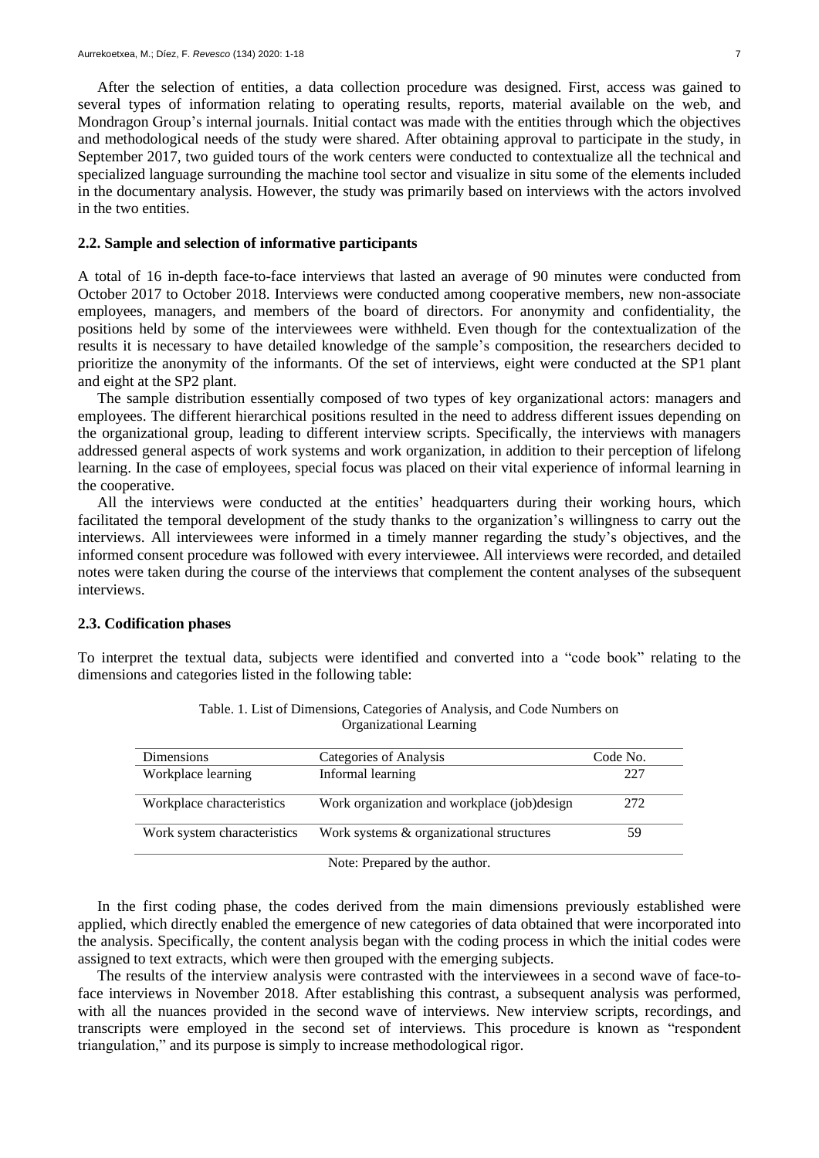After the selection of entities, a data collection procedure was designed. First, access was gained to several types of information relating to operating results, reports, material available on the web, and Mondragon Group's internal journals. Initial contact was made with the entities through which the objectives and methodological needs of the study were shared. After obtaining approval to participate in the study, in September 2017, two guided tours of the work centers were conducted to contextualize all the technical and specialized language surrounding the machine tool sector and visualize in situ some of the elements included in the documentary analysis. However, the study was primarily based on interviews with the actors involved in the two entities.

### **2.2. Sample and selection of informative participants**

A total of 16 in-depth face-to-face interviews that lasted an average of 90 minutes were conducted from October 2017 to October 2018. Interviews were conducted among cooperative members, new non-associate employees, managers, and members of the board of directors. For anonymity and confidentiality, the positions held by some of the interviewees were withheld. Even though for the contextualization of the results it is necessary to have detailed knowledge of the sample's composition, the researchers decided to prioritize the anonymity of the informants. Of the set of interviews, eight were conducted at the SP1 plant and eight at the SP2 plant.

The sample distribution essentially composed of two types of key organizational actors: managers and employees. The different hierarchical positions resulted in the need to address different issues depending on the organizational group, leading to different interview scripts. Specifically, the interviews with managers addressed general aspects of work systems and work organization, in addition to their perception of lifelong learning. In the case of employees, special focus was placed on their vital experience of informal learning in the cooperative.

All the interviews were conducted at the entities' headquarters during their working hours, which facilitated the temporal development of the study thanks to the organization's willingness to carry out the interviews. All interviewees were informed in a timely manner regarding the study's objectives, and the informed consent procedure was followed with every interviewee. All interviews were recorded, and detailed notes were taken during the course of the interviews that complement the content analyses of the subsequent interviews.

# **2.3. Codification phases**

To interpret the textual data, subjects were identified and converted into a "code book" relating to the dimensions and categories listed in the following table:

| <b>Dimensions</b>           | Categories of Analysis                       | Code No. |
|-----------------------------|----------------------------------------------|----------|
| Workplace learning          | Informal learning                            | 227      |
| Workplace characteristics   | Work organization and workplace (job) design | 272      |
| Work system characteristics | Work systems & organizational structures     | 59       |

| Table. 1. List of Dimensions, Categories of Analysis, and Code Numbers on |  |
|---------------------------------------------------------------------------|--|
| Organizational Learning                                                   |  |

Note: Prepared by the author.

In the first coding phase, the codes derived from the main dimensions previously established were applied, which directly enabled the emergence of new categories of data obtained that were incorporated into the analysis. Specifically, the content analysis began with the coding process in which the initial codes were assigned to text extracts, which were then grouped with the emerging subjects.

The results of the interview analysis were contrasted with the interviewees in a second wave of face-toface interviews in November 2018. After establishing this contrast, a subsequent analysis was performed, with all the nuances provided in the second wave of interviews. New interview scripts, recordings, and transcripts were employed in the second set of interviews. This procedure is known as "respondent triangulation," and its purpose is simply to increase methodological rigor.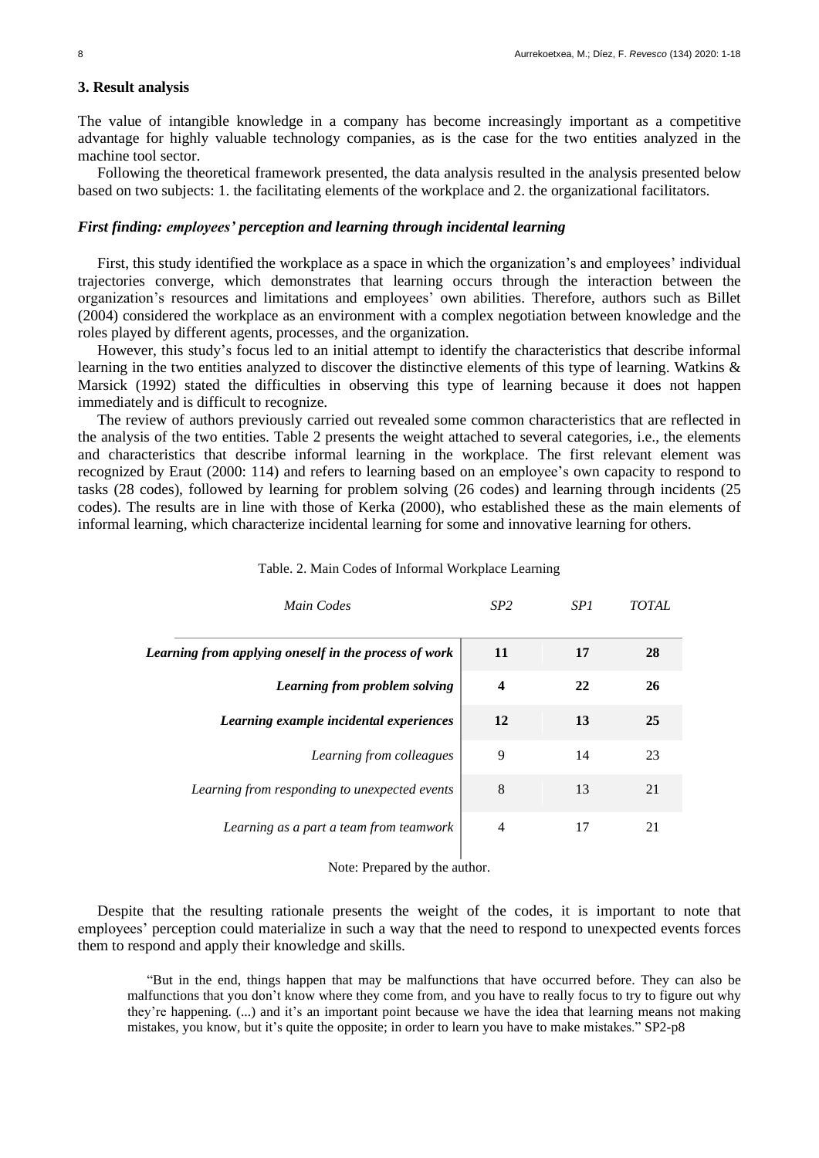# **3. Result analysis**

The value of intangible knowledge in a company has become increasingly important as a competitive advantage for highly valuable technology companies, as is the case for the two entities analyzed in the machine tool sector.

Following the theoretical framework presented, the data analysis resulted in the analysis presented below based on two subjects: 1. the facilitating elements of the workplace and 2. the organizational facilitators.

### *First finding: employees' perception and learning through incidental learning*

First, this study identified the workplace as a space in which the organization's and employees' individual trajectories converge, which demonstrates that learning occurs through the interaction between the organization's resources and limitations and employees' own abilities. Therefore, authors such as Billet (2004) considered the workplace as an environment with a complex negotiation between knowledge and the roles played by different agents, processes, and the organization.

However, this study's focus led to an initial attempt to identify the characteristics that describe informal learning in the two entities analyzed to discover the distinctive elements of this type of learning. Watkins & Marsick (1992) stated the difficulties in observing this type of learning because it does not happen immediately and is difficult to recognize.

The review of authors previously carried out revealed some common characteristics that are reflected in the analysis of the two entities. Table 2 presents the weight attached to several categories, i.e., the elements and characteristics that describe informal learning in the workplace. The first relevant element was recognized by Eraut (2000: 114) and refers to learning based on an employee's own capacity to respond to tasks (28 codes), followed by learning for problem solving (26 codes) and learning through incidents (25 codes). The results are in line with those of Kerka (2000), who established these as the main elements of informal learning, which characterize incidental learning for some and innovative learning for others.

| Main Codes                                            | SP <sub>2</sub> | SP1 | <b>TOTAL</b> |
|-------------------------------------------------------|-----------------|-----|--------------|
| Learning from applying oneself in the process of work | <b>11</b>       | 17  | 28           |
| Learning from problem solving                         | 4               | 22  | <b>26</b>    |
| Learning example incidental experiences               | <b>12</b>       | 13  | 25           |
| Learning from colleagues                              | 9               | 14  | 23           |
| Learning from responding to unexpected events         | 8               | 13  | 21           |
| Learning as a part a team from teamwork               | 4               | 17  | 21           |

# Table. 2. Main Codes of Informal Workplace Learning

Note: Prepared by the author.

Despite that the resulting rationale presents the weight of the codes, it is important to note that employees' perception could materialize in such a way that the need to respond to unexpected events forces them to respond and apply their knowledge and skills.

"But in the end, things happen that may be malfunctions that have occurred before. They can also be malfunctions that you don't know where they come from, and you have to really focus to try to figure out why they're happening. (...) and it's an important point because we have the idea that learning means not making mistakes, you know, but it's quite the opposite; in order to learn you have to make mistakes." SP2-p8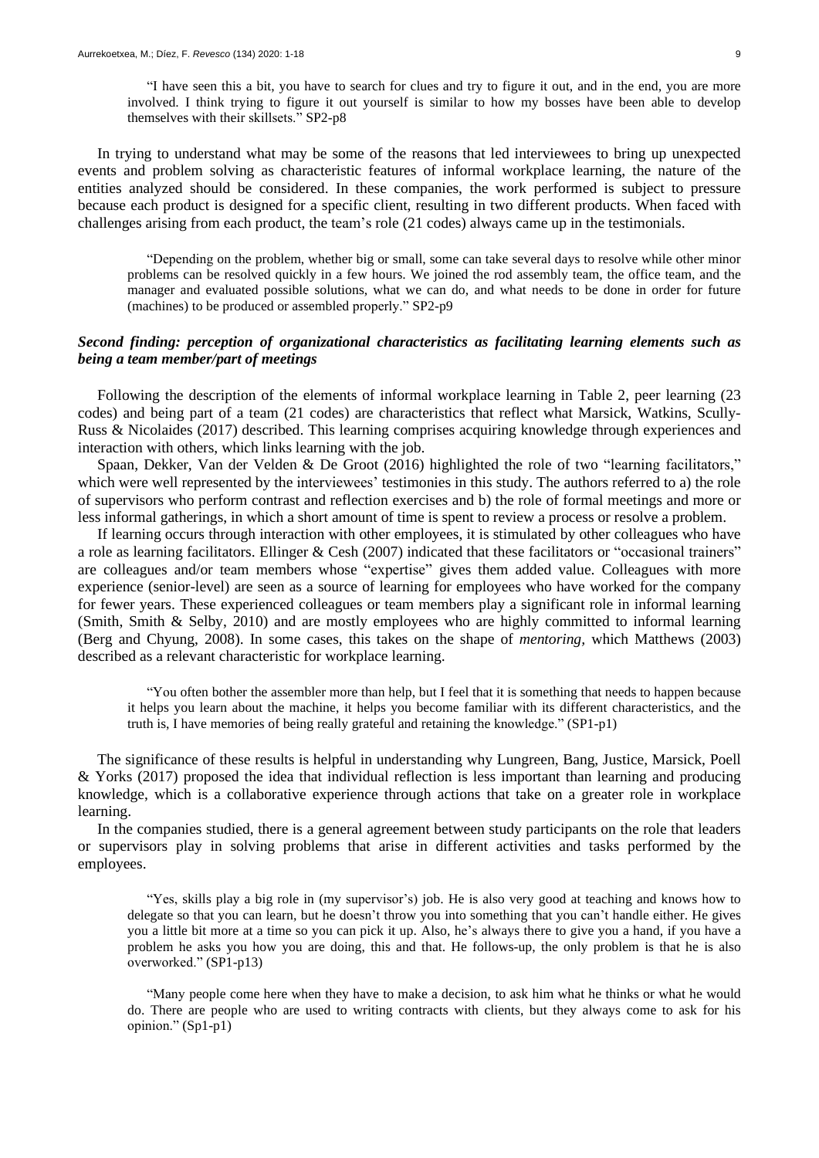"I have seen this a bit, you have to search for clues and try to figure it out, and in the end, you are more involved. I think trying to figure it out yourself is similar to how my bosses have been able to develop themselves with their skillsets." SP2-p8

In trying to understand what may be some of the reasons that led interviewees to bring up unexpected events and problem solving as characteristic features of informal workplace learning, the nature of the entities analyzed should be considered. In these companies, the work performed is subject to pressure because each product is designed for a specific client, resulting in two different products. When faced with challenges arising from each product, the team's role (21 codes) always came up in the testimonials.

"Depending on the problem, whether big or small, some can take several days to resolve while other minor problems can be resolved quickly in a few hours. We joined the rod assembly team, the office team, and the manager and evaluated possible solutions, what we can do, and what needs to be done in order for future (machines) to be produced or assembled properly." SP2-p9

# *Second finding: perception of organizational characteristics as facilitating learning elements such as being a team member/part of meetings*

Following the description of the elements of informal workplace learning in Table 2, peer learning (23 codes) and being part of a team (21 codes) are characteristics that reflect what Marsick, Watkins, Scully-Russ & Nicolaides (2017) described. This learning comprises acquiring knowledge through experiences and interaction with others, which links learning with the job.

Spaan, Dekker, Van der Velden & De Groot (2016) highlighted the role of two "learning facilitators," which were well represented by the interviewees' testimonies in this study. The authors referred to a) the role of supervisors who perform contrast and reflection exercises and b) the role of formal meetings and more or less informal gatherings, in which a short amount of time is spent to review a process or resolve a problem.

If learning occurs through interaction with other employees, it is stimulated by other colleagues who have a role as learning facilitators. Ellinger & Cesh (2007) indicated that these facilitators or "occasional trainers" are colleagues and/or team members whose "expertise" gives them added value. Colleagues with more experience (senior-level) are seen as a source of learning for employees who have worked for the company for fewer years. These experienced colleagues or team members play a significant role in informal learning (Smith, Smith & Selby, 2010) and are mostly employees who are highly committed to informal learning (Berg and Chyung, 2008). In some cases, this takes on the shape of *mentoring,* which Matthews (2003) described as a relevant characteristic for workplace learning.

"You often bother the assembler more than help, but I feel that it is something that needs to happen because it helps you learn about the machine, it helps you become familiar with its different characteristics, and the truth is, I have memories of being really grateful and retaining the knowledge." (SP1-p1)

The significance of these results is helpful in understanding why Lungreen, Bang, Justice, Marsick, Poell & Yorks (2017) proposed the idea that individual reflection is less important than learning and producing knowledge, which is a collaborative experience through actions that take on a greater role in workplace learning.

In the companies studied, there is a general agreement between study participants on the role that leaders or supervisors play in solving problems that arise in different activities and tasks performed by the employees.

"Yes, skills play a big role in (my supervisor's) job. He is also very good at teaching and knows how to delegate so that you can learn, but he doesn't throw you into something that you can't handle either. He gives you a little bit more at a time so you can pick it up. Also, he's always there to give you a hand, if you have a problem he asks you how you are doing, this and that. He follows-up, the only problem is that he is also overworked." (SP1-p13)

"Many people come here when they have to make a decision, to ask him what he thinks or what he would do. There are people who are used to writing contracts with clients, but they always come to ask for his opinion." (Sp1-p1)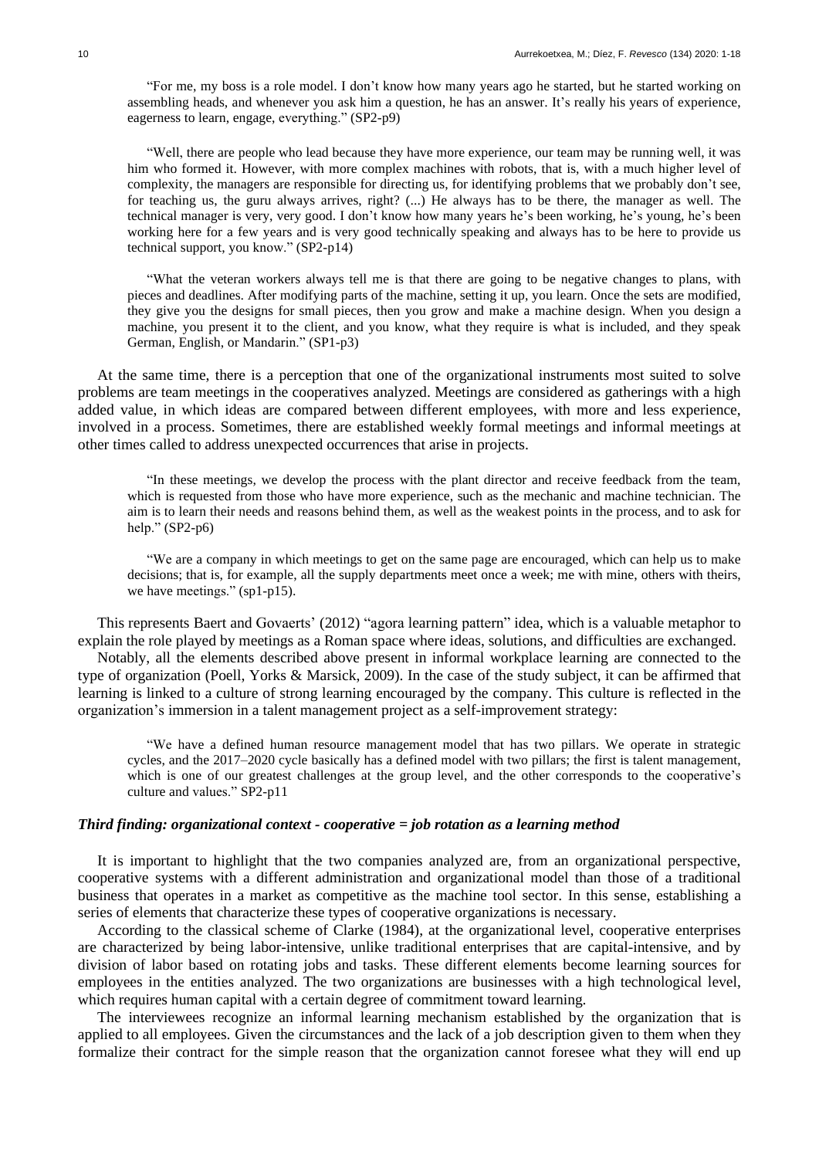"For me, my boss is a role model. I don't know how many years ago he started, but he started working on assembling heads, and whenever you ask him a question, he has an answer. It's really his years of experience, eagerness to learn, engage, everything." (SP2-p9)

"Well, there are people who lead because they have more experience, our team may be running well, it was him who formed it. However, with more complex machines with robots, that is, with a much higher level of complexity, the managers are responsible for directing us, for identifying problems that we probably don't see, for teaching us, the guru always arrives, right? (...) He always has to be there, the manager as well. The technical manager is very, very good. I don't know how many years he's been working, he's young, he's been working here for a few years and is very good technically speaking and always has to be here to provide us technical support, you know." (SP2-p14)

"What the veteran workers always tell me is that there are going to be negative changes to plans, with pieces and deadlines. After modifying parts of the machine, setting it up, you learn. Once the sets are modified, they give you the designs for small pieces, then you grow and make a machine design. When you design a machine, you present it to the client, and you know, what they require is what is included, and they speak German, English, or Mandarin." (SP1-p3)

At the same time, there is a perception that one of the organizational instruments most suited to solve problems are team meetings in the cooperatives analyzed. Meetings are considered as gatherings with a high added value, in which ideas are compared between different employees, with more and less experience, involved in a process. Sometimes, there are established weekly formal meetings and informal meetings at other times called to address unexpected occurrences that arise in projects.

"In these meetings, we develop the process with the plant director and receive feedback from the team, which is requested from those who have more experience, such as the mechanic and machine technician. The aim is to learn their needs and reasons behind them, as well as the weakest points in the process, and to ask for help." (SP2-p6)

"We are a company in which meetings to get on the same page are encouraged, which can help us to make decisions; that is, for example, all the supply departments meet once a week; me with mine, others with theirs, we have meetings." (sp1-p15).

This represents Baert and Govaerts' (2012) "agora learning pattern" idea, which is a valuable metaphor to explain the role played by meetings as a Roman space where ideas, solutions, and difficulties are exchanged.

Notably, all the elements described above present in informal workplace learning are connected to the type of organization (Poell, Yorks & Marsick, 2009). In the case of the study subject, it can be affirmed that learning is linked to a culture of strong learning encouraged by the company. This culture is reflected in the organization's immersion in a talent management project as a self-improvement strategy:

"We have a defined human resource management model that has two pillars. We operate in strategic cycles, and the 2017–2020 cycle basically has a defined model with two pillars; the first is talent management, which is one of our greatest challenges at the group level, and the other corresponds to the cooperative's culture and values." SP2-p11

### *Third finding: organizational context - cooperative = job rotation as a learning method*

It is important to highlight that the two companies analyzed are, from an organizational perspective, cooperative systems with a different administration and organizational model than those of a traditional business that operates in a market as competitive as the machine tool sector. In this sense, establishing a series of elements that characterize these types of cooperative organizations is necessary.

According to the classical scheme of Clarke (1984), at the organizational level, cooperative enterprises are characterized by being labor-intensive, unlike traditional enterprises that are capital-intensive, and by division of labor based on rotating jobs and tasks. These different elements become learning sources for employees in the entities analyzed. The two organizations are businesses with a high technological level, which requires human capital with a certain degree of commitment toward learning.

The interviewees recognize an informal learning mechanism established by the organization that is applied to all employees. Given the circumstances and the lack of a job description given to them when they formalize their contract for the simple reason that the organization cannot foresee what they will end up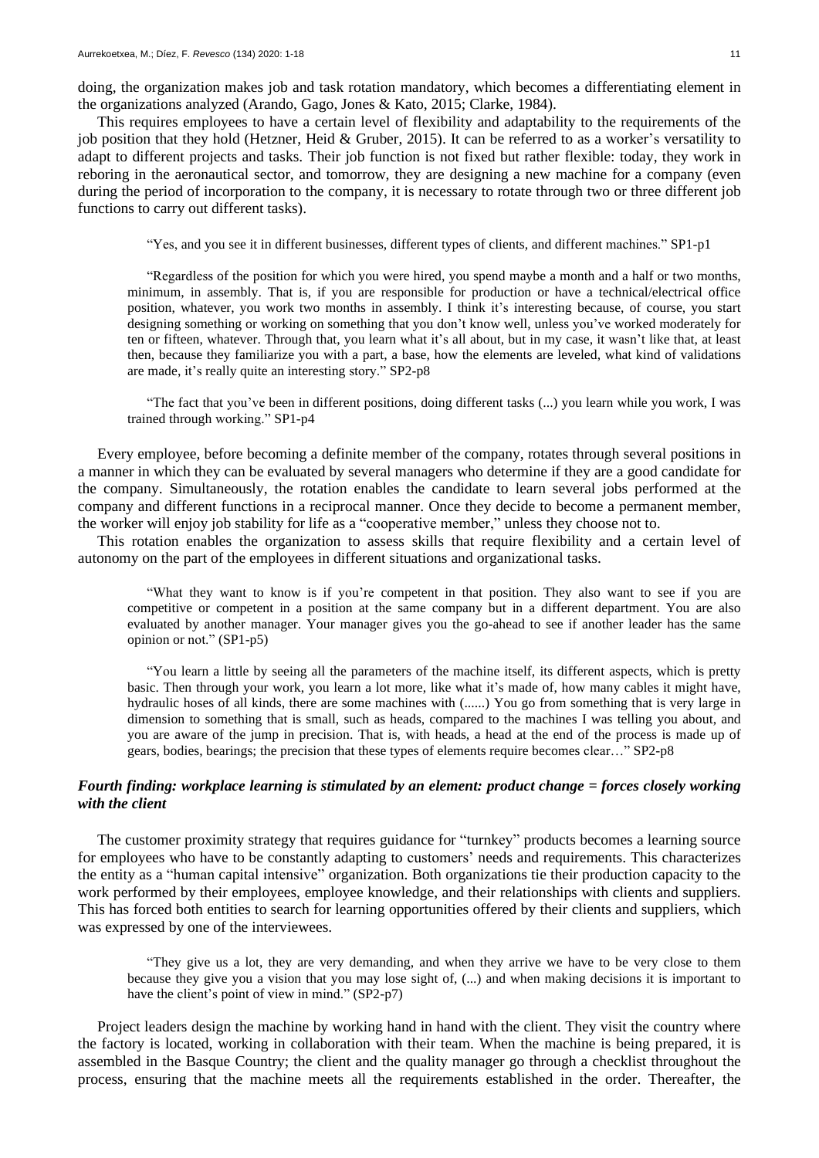doing, the organization makes job and task rotation mandatory, which becomes a differentiating element in the organizations analyzed (Arando, Gago, Jones & Kato, 2015; Clarke, 1984).

This requires employees to have a certain level of flexibility and adaptability to the requirements of the job position that they hold (Hetzner, Heid & Gruber, 2015). It can be referred to as a worker's versatility to adapt to different projects and tasks. Their job function is not fixed but rather flexible: today, they work in reboring in the aeronautical sector, and tomorrow, they are designing a new machine for a company (even during the period of incorporation to the company, it is necessary to rotate through two or three different job functions to carry out different tasks).

"Yes, and you see it in different businesses, different types of clients, and different machines." SP1-p1

"Regardless of the position for which you were hired, you spend maybe a month and a half or two months, minimum, in assembly. That is, if you are responsible for production or have a technical/electrical office position, whatever, you work two months in assembly. I think it's interesting because, of course, you start designing something or working on something that you don't know well, unless you've worked moderately for ten or fifteen, whatever. Through that, you learn what it's all about, but in my case, it wasn't like that, at least then, because they familiarize you with a part, a base, how the elements are leveled, what kind of validations are made, it's really quite an interesting story." SP2-p8

"The fact that you've been in different positions, doing different tasks (...) you learn while you work, I was trained through working." SP1-p4

Every employee, before becoming a definite member of the company, rotates through several positions in a manner in which they can be evaluated by several managers who determine if they are a good candidate for the company. Simultaneously, the rotation enables the candidate to learn several jobs performed at the company and different functions in a reciprocal manner. Once they decide to become a permanent member, the worker will enjoy job stability for life as a "cooperative member," unless they choose not to.

This rotation enables the organization to assess skills that require flexibility and a certain level of autonomy on the part of the employees in different situations and organizational tasks.

"What they want to know is if you're competent in that position. They also want to see if you are competitive or competent in a position at the same company but in a different department. You are also evaluated by another manager. Your manager gives you the go-ahead to see if another leader has the same opinion or not." (SP1-p5)

"You learn a little by seeing all the parameters of the machine itself, its different aspects, which is pretty basic. Then through your work, you learn a lot more, like what it's made of, how many cables it might have, hydraulic hoses of all kinds, there are some machines with (......) You go from something that is very large in dimension to something that is small, such as heads, compared to the machines I was telling you about, and you are aware of the jump in precision. That is, with heads, a head at the end of the process is made up of gears, bodies, bearings; the precision that these types of elements require becomes clear…" SP2-p8

## *Fourth finding: workplace learning is stimulated by an element: product change = forces closely working with the client*

The customer proximity strategy that requires guidance for "turnkey" products becomes a learning source for employees who have to be constantly adapting to customers' needs and requirements. This characterizes the entity as a "human capital intensive" organization. Both organizations tie their production capacity to the work performed by their employees, employee knowledge, and their relationships with clients and suppliers. This has forced both entities to search for learning opportunities offered by their clients and suppliers, which was expressed by one of the interviewees.

"They give us a lot, they are very demanding, and when they arrive we have to be very close to them because they give you a vision that you may lose sight of, (...) and when making decisions it is important to have the client's point of view in mind." (SP2-p7)

Project leaders design the machine by working hand in hand with the client. They visit the country where the factory is located, working in collaboration with their team. When the machine is being prepared, it is assembled in the Basque Country; the client and the quality manager go through a checklist throughout the process, ensuring that the machine meets all the requirements established in the order. Thereafter, the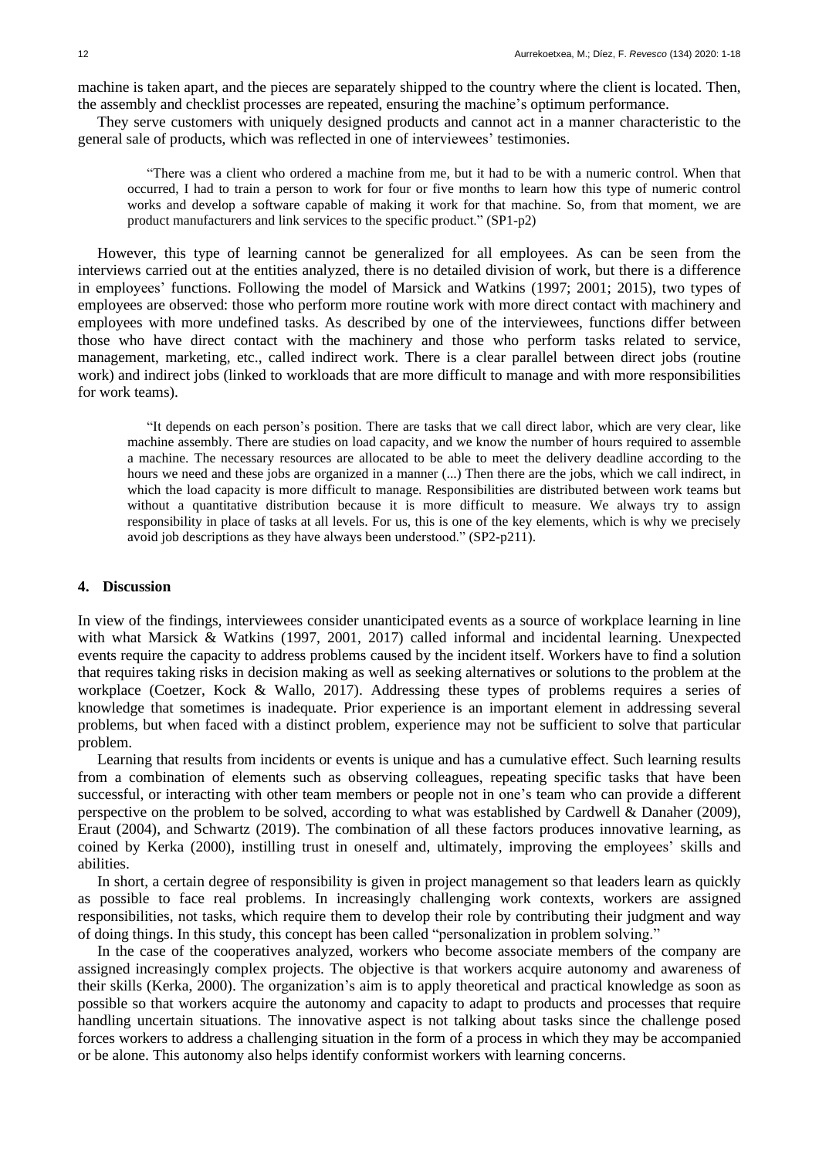machine is taken apart, and the pieces are separately shipped to the country where the client is located. Then, the assembly and checklist processes are repeated, ensuring the machine's optimum performance.

They serve customers with uniquely designed products and cannot act in a manner characteristic to the general sale of products, which was reflected in one of interviewees' testimonies.

"There was a client who ordered a machine from me, but it had to be with a numeric control. When that occurred, I had to train a person to work for four or five months to learn how this type of numeric control works and develop a software capable of making it work for that machine. So, from that moment, we are product manufacturers and link services to the specific product." (SP1-p2)

However, this type of learning cannot be generalized for all employees. As can be seen from the interviews carried out at the entities analyzed, there is no detailed division of work, but there is a difference in employees' functions. Following the model of Marsick and Watkins (1997; 2001; 2015), two types of employees are observed: those who perform more routine work with more direct contact with machinery and employees with more undefined tasks. As described by one of the interviewees, functions differ between those who have direct contact with the machinery and those who perform tasks related to service, management, marketing, etc., called indirect work. There is a clear parallel between direct jobs (routine work) and indirect jobs (linked to workloads that are more difficult to manage and with more responsibilities for work teams).

"It depends on each person's position. There are tasks that we call direct labor, which are very clear, like machine assembly. There are studies on load capacity, and we know the number of hours required to assemble a machine. The necessary resources are allocated to be able to meet the delivery deadline according to the hours we need and these jobs are organized in a manner (...) Then there are the jobs, which we call indirect, in which the load capacity is more difficult to manage. Responsibilities are distributed between work teams but without a quantitative distribution because it is more difficult to measure. We always try to assign responsibility in place of tasks at all levels. For us, this is one of the key elements, which is why we precisely avoid job descriptions as they have always been understood." (SP2-p211).

### **4. Discussion**

In view of the findings, interviewees consider unanticipated events as a source of workplace learning in line with what Marsick & Watkins (1997, 2001, 2017) called informal and incidental learning. Unexpected events require the capacity to address problems caused by the incident itself. Workers have to find a solution that requires taking risks in decision making as well as seeking alternatives or solutions to the problem at the workplace (Coetzer, Kock & Wallo, 2017). Addressing these types of problems requires a series of knowledge that sometimes is inadequate. Prior experience is an important element in addressing several problems, but when faced with a distinct problem, experience may not be sufficient to solve that particular problem.

Learning that results from incidents or events is unique and has a cumulative effect. Such learning results from a combination of elements such as observing colleagues, repeating specific tasks that have been successful, or interacting with other team members or people not in one's team who can provide a different perspective on the problem to be solved, according to what was established by Cardwell & Danaher (2009), Eraut (2004), and Schwartz (2019). The combination of all these factors produces innovative learning, as coined by Kerka (2000), instilling trust in oneself and, ultimately, improving the employees' skills and abilities.

In short, a certain degree of responsibility is given in project management so that leaders learn as quickly as possible to face real problems. In increasingly challenging work contexts, workers are assigned responsibilities, not tasks, which require them to develop their role by contributing their judgment and way of doing things. In this study, this concept has been called "personalization in problem solving."

In the case of the cooperatives analyzed, workers who become associate members of the company are assigned increasingly complex projects. The objective is that workers acquire autonomy and awareness of their skills (Kerka, 2000). The organization's aim is to apply theoretical and practical knowledge as soon as possible so that workers acquire the autonomy and capacity to adapt to products and processes that require handling uncertain situations. The innovative aspect is not talking about tasks since the challenge posed forces workers to address a challenging situation in the form of a process in which they may be accompanied or be alone. This autonomy also helps identify conformist workers with learning concerns.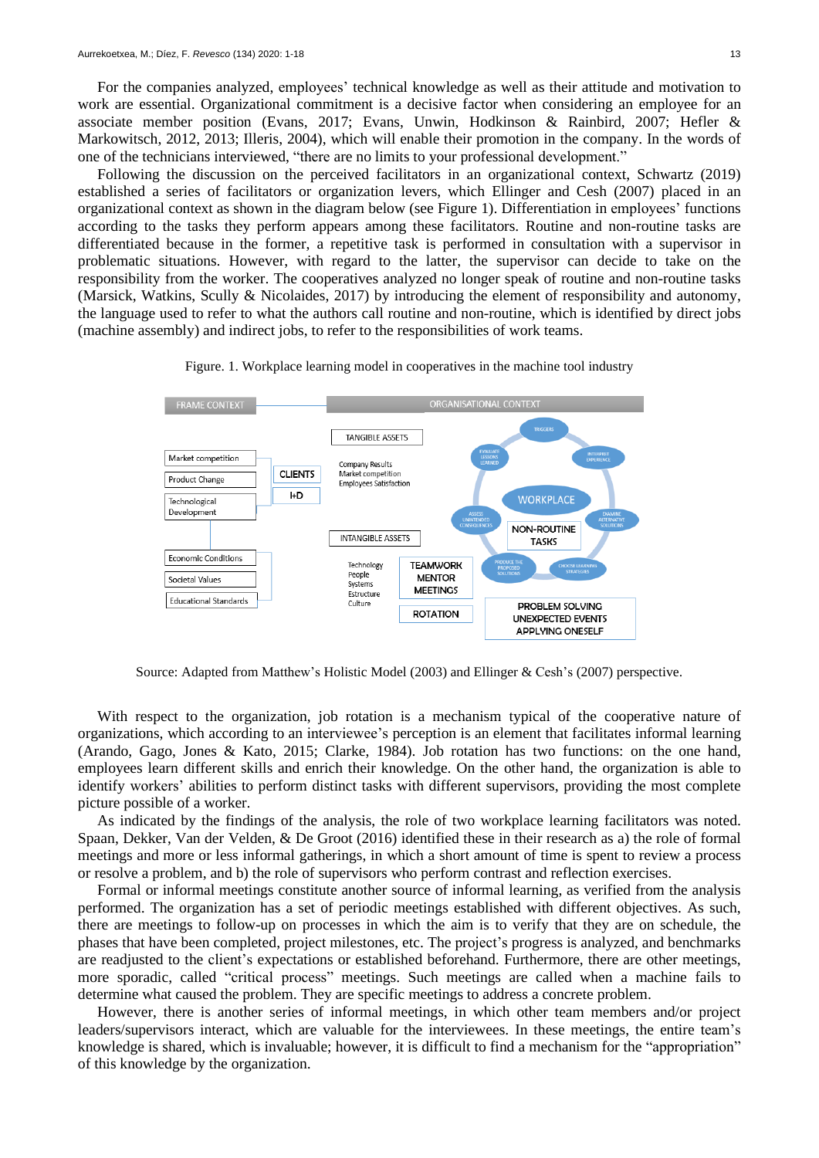For the companies analyzed, employees' technical knowledge as well as their attitude and motivation to work are essential. Organizational commitment is a decisive factor when considering an employee for an associate member position (Evans, 2017; Evans, Unwin, Hodkinson & Rainbird, 2007; Hefler & Markowitsch, 2012, 2013; Illeris, 2004), which will enable their promotion in the company. In the words of one of the technicians interviewed, "there are no limits to your professional development."

Following the discussion on the perceived facilitators in an organizational context, Schwartz (2019) established a series of facilitators or organization levers, which Ellinger and Cesh (2007) placed in an organizational context as shown in the diagram below (see Figure 1). Differentiation in employees' functions according to the tasks they perform appears among these facilitators. Routine and non-routine tasks are differentiated because in the former, a repetitive task is performed in consultation with a supervisor in problematic situations. However, with regard to the latter, the supervisor can decide to take on the responsibility from the worker. The cooperatives analyzed no longer speak of routine and non-routine tasks (Marsick, Watkins, Scully & Nicolaides, 2017) by introducing the element of responsibility and autonomy, the language used to refer to what the authors call routine and non-routine, which is identified by direct jobs (machine assembly) and indirect jobs, to refer to the responsibilities of work teams.





Source: Adapted from Matthew's Holistic Model (2003) and Ellinger & Cesh's (2007) perspective.

With respect to the organization, job rotation is a mechanism typical of the cooperative nature of organizations, which according to an interviewee's perception is an element that facilitates informal learning (Arando, Gago, Jones & Kato, 2015; Clarke, 1984). Job rotation has two functions: on the one hand, employees learn different skills and enrich their knowledge. On the other hand, the organization is able to identify workers' abilities to perform distinct tasks with different supervisors, providing the most complete picture possible of a worker.

As indicated by the findings of the analysis, the role of two workplace learning facilitators was noted. Spaan, Dekker, Van der Velden, & De Groot (2016) identified these in their research as a) the role of formal meetings and more or less informal gatherings, in which a short amount of time is spent to review a process or resolve a problem, and b) the role of supervisors who perform contrast and reflection exercises.

Formal or informal meetings constitute another source of informal learning, as verified from the analysis performed. The organization has a set of periodic meetings established with different objectives. As such, there are meetings to follow-up on processes in which the aim is to verify that they are on schedule, the phases that have been completed, project milestones, etc. The project's progress is analyzed, and benchmarks are readjusted to the client's expectations or established beforehand. Furthermore, there are other meetings, more sporadic, called "critical process" meetings. Such meetings are called when a machine fails to determine what caused the problem. They are specific meetings to address a concrete problem.

However, there is another series of informal meetings, in which other team members and/or project leaders/supervisors interact, which are valuable for the interviewees. In these meetings, the entire team's knowledge is shared, which is invaluable; however, it is difficult to find a mechanism for the "appropriation" of this knowledge by the organization.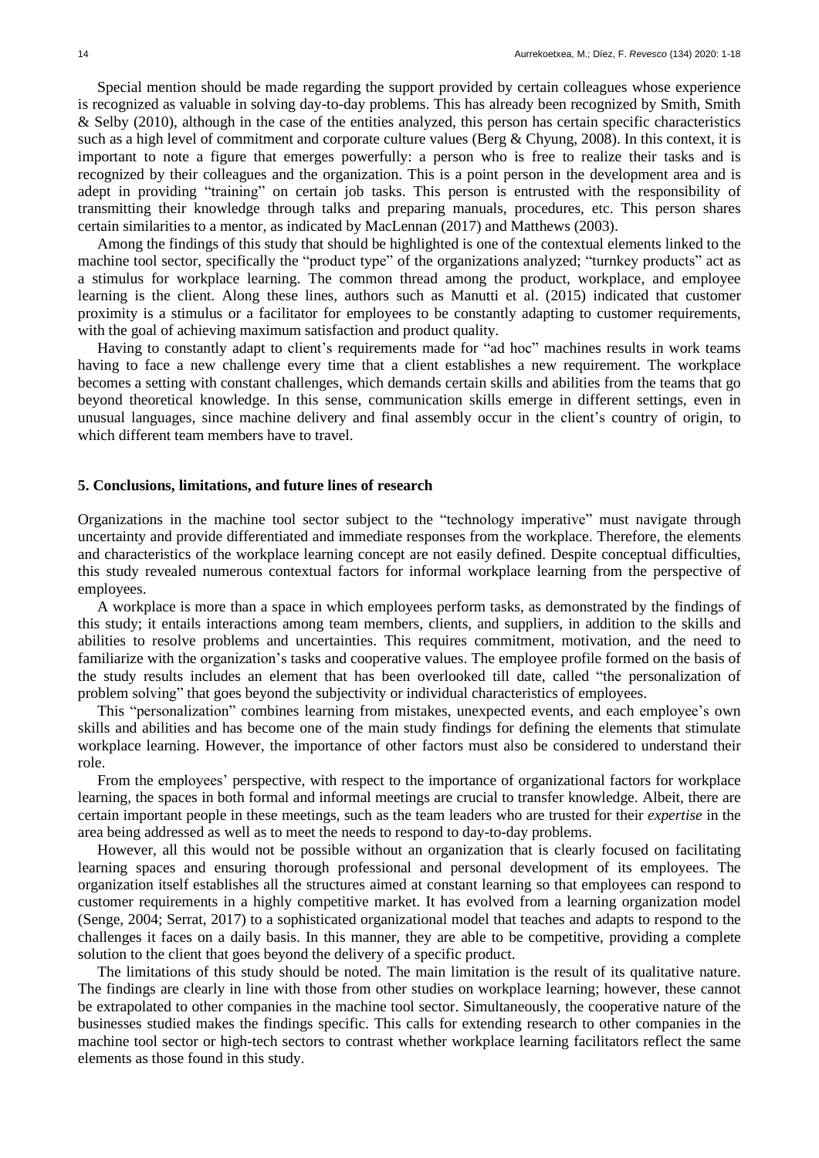Special mention should be made regarding the support provided by certain colleagues whose experience is recognized as valuable in solving day-to-day problems. This has already been recognized by Smith, Smith & Selby (2010), although in the case of the entities analyzed, this person has certain specific characteristics such as a high level of commitment and corporate culture values (Berg & Chyung, 2008). In this context, it is important to note a figure that emerges powerfully: a person who is free to realize their tasks and is recognized by their colleagues and the organization. This is a point person in the development area and is adept in providing "training" on certain job tasks. This person is entrusted with the responsibility of transmitting their knowledge through talks and preparing manuals, procedures, etc. This person shares certain similarities to a mentor, as indicated by MacLennan (2017) and Matthews (2003).

Among the findings of this study that should be highlighted is one of the contextual elements linked to the machine tool sector, specifically the "product type" of the organizations analyzed; "turnkey products" act as a stimulus for workplace learning. The common thread among the product, workplace, and employee learning is the client. Along these lines, authors such as Manutti et al. (2015) indicated that customer proximity is a stimulus or a facilitator for employees to be constantly adapting to customer requirements, with the goal of achieving maximum satisfaction and product quality.

Having to constantly adapt to client's requirements made for "ad hoc" machines results in work teams having to face a new challenge every time that a client establishes a new requirement. The workplace becomes a setting with constant challenges, which demands certain skills and abilities from the teams that go beyond theoretical knowledge. In this sense, communication skills emerge in different settings, even in unusual languages, since machine delivery and final assembly occur in the client's country of origin, to which different team members have to travel.

#### **5. Conclusions, limitations, and future lines of research**

Organizations in the machine tool sector subject to the "technology imperative" must navigate through uncertainty and provide differentiated and immediate responses from the workplace. Therefore, the elements and characteristics of the workplace learning concept are not easily defined. Despite conceptual difficulties, this study revealed numerous contextual factors for informal workplace learning from the perspective of employees.

A workplace is more than a space in which employees perform tasks, as demonstrated by the findings of this study; it entails interactions among team members, clients, and suppliers, in addition to the skills and abilities to resolve problems and uncertainties. This requires commitment, motivation, and the need to familiarize with the organization's tasks and cooperative values. The employee profile formed on the basis of the study results includes an element that has been overlooked till date, called "the personalization of problem solving" that goes beyond the subjectivity or individual characteristics of employees.

This "personalization" combines learning from mistakes, unexpected events, and each employee's own skills and abilities and has become one of the main study findings for defining the elements that stimulate workplace learning. However, the importance of other factors must also be considered to understand their role.

From the employees' perspective, with respect to the importance of organizational factors for workplace learning, the spaces in both formal and informal meetings are crucial to transfer knowledge. Albeit, there are certain important people in these meetings, such as the team leaders who are trusted for their *expertise* in the area being addressed as well as to meet the needs to respond to day-to-day problems.

However, all this would not be possible without an organization that is clearly focused on facilitating learning spaces and ensuring thorough professional and personal development of its employees. The organization itself establishes all the structures aimed at constant learning so that employees can respond to customer requirements in a highly competitive market. It has evolved from a learning organization model (Senge, 2004; Serrat, 2017) to a sophisticated organizational model that teaches and adapts to respond to the challenges it faces on a daily basis. In this manner, they are able to be competitive, providing a complete solution to the client that goes beyond the delivery of a specific product.

The limitations of this study should be noted. The main limitation is the result of its qualitative nature. The findings are clearly in line with those from other studies on workplace learning; however, these cannot be extrapolated to other companies in the machine tool sector. Simultaneously, the cooperative nature of the businesses studied makes the findings specific. This calls for extending research to other companies in the machine tool sector or high-tech sectors to contrast whether workplace learning facilitators reflect the same elements as those found in this study.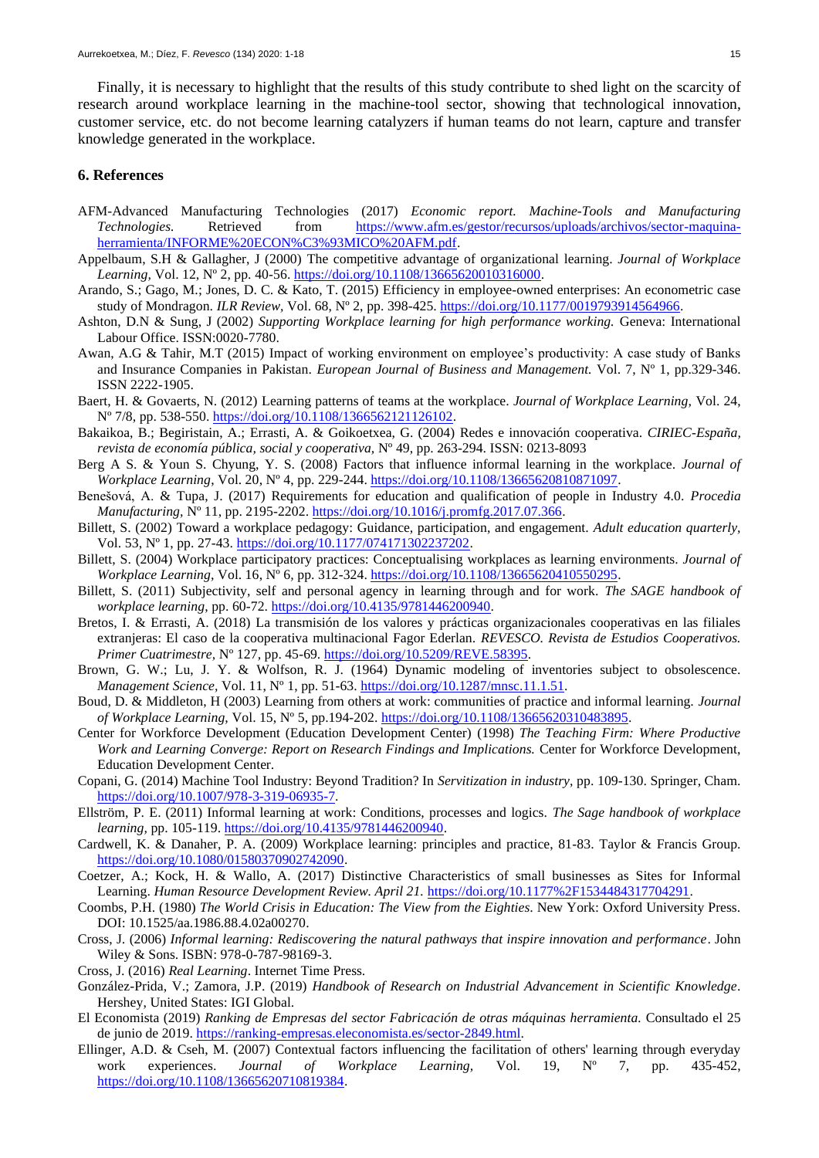Finally, it is necessary to highlight that the results of this study contribute to shed light on the scarcity of research around workplace learning in the machine-tool sector, showing that technological innovation, customer service, etc. do not become learning catalyzers if human teams do not learn, capture and transfer knowledge generated in the workplace.

### **6. References**

- AFM-Advanced Manufacturing Technologies (2017) *Economic report. Machine-Tools and Manufacturing Technologies.* Retrieved from [https://www.afm.es/gestor/recursos/uploads/archivos/sector-maquina](https://www.afm.es/gestor/recursos/uploads/archivos/sector-maquina-herramienta/INFORME%20ECON%C3%93MICO%20AFM.pdf)[herramienta/INFORME%20ECON%C3%93MICO%20AFM.pdf.](https://www.afm.es/gestor/recursos/uploads/archivos/sector-maquina-herramienta/INFORME%20ECON%C3%93MICO%20AFM.pdf)
- Appelbaum, S.H & Gallagher, J (2000) The competitive advantage of organizational learning. *Journal of Workplace Learning*, Vol. 12, N° 2, pp. 40-56. [https://doi.org/10.1108/13665620010316000.](https://doi.org/10.1108/13665620010316000)
- Arando, S.; Gago, M.; Jones, D. C. & Kato, T. (2015) Efficiency in employee-owned enterprises: An econometric case study of Mondragon. *ILR Review,* Vol. 68, Nº 2, pp. 398-425. [https://doi.org/10.1177/0019793914564966.](https://doi.org/10.1177/0019793914564966)
- Ashton, D.N & Sung, J (2002) *Supporting Workplace learning for high performance working.* Geneva: International Labour Office. ISSN:0020-7780.
- Awan, A.G & Tahir, M.T (2015) Impact of working environment on employee's productivity: A case study of Banks and Insurance Companies in Pakistan. *European Journal of Business and Management.* Vol. 7, Nº 1, pp.329-346. ISSN 2222-1905.
- Baert, H. & Govaerts, N. (2012) Learning patterns of teams at the workplace. *Journal of Workplace Learning,* Vol. 24, Nº 7/8, pp. 538-550. [https://doi.org/10.1108/1366562121126102.](https://doi.org/10.1108/1366562121126102)
- Bakaikoa, B.; Begiristain, A.; Errasti, A. & Goikoetxea, G. (2004) Redes e innovación cooperativa. *CIRIEC-España, revista de economía pública, social y cooperativa,* Nº 49, pp. 263-294. ISSN: 0213-8093
- Berg A S. & Youn S. Chyung, Y. S. (2008) Factors that influence informal learning in the workplace. *Journal of Workplace Learning*, Vol. 20, Nº 4, pp. 229-244. [https://doi.org/10.1108/13665620810871097.](https://doi.org/10.1108/13665620810871097)
- Benešová, A. & Tupa, J. (2017) Requirements for education and qualification of people in Industry 4.0. *Procedia Manufacturing,* Nº 11, pp. 2195-2202. [https://doi.org/10.1016/j.promfg.2017.07.366.](https://doi.org/10.1016/j.promfg.2017.07.366)
- Billett, S. (2002) Toward a workplace pedagogy: Guidance, participation, and engagement. *Adult education quarterly,*  Vol. 53, Nº 1, pp. 27-43. [https://doi.org/10.1177/074171302237202.](https://doi.org/10.1177/074171302237202)
- Billett, S. (2004) Workplace participatory practices: Conceptualising workplaces as learning environments. *Journal of Workplace Learning,* Vol. 16, Nº 6*,* pp. 312-324. [https://doi.org/10.1108/13665620410550295.](https://doi.org/10.1108/13665620410550295)
- Billett, S. (2011) Subjectivity, self and personal agency in learning through and for work. *The SAGE handbook of workplace learning*, pp. 60-72. [https://doi.org/10.4135/9781446200940.](https://doi.org/10.4135/9781446200940)
- Bretos, I. & Errasti, A. (2018) La transmisión de los valores y prácticas organizacionales cooperativas en las filiales extranjeras: El caso de la cooperativa multinacional Fagor Ederlan. *REVESCO. Revista de Estudios Cooperativos. Primer Cuatrimestre,* Nº 127*,* pp. 45-69[. https://doi.org/10.5209/REVE.58395.](https://doi.org/10.5209/REVE.58395)
- Brown, G. W.; Lu, J. Y. & Wolfson, R. J. (1964) Dynamic modeling of inventories subject to obsolescence. *Management Science,* Vol. 11, Nº 1, pp. 51-63. [https://doi.org/10.1287/mnsc.11.1.51.](https://doi.org/10.1287/mnsc.11.1.51)
- Boud, D. & Middleton, H (2003) Learning from others at work: communities of practice and informal learning. *Journal of Workplace Learning,* Vol. 15, Nº 5, pp.194-202. [https://doi.org/10.1108/13665620310483895.](https://doi.org/10.1108/13665620310483895)
- Center for Workforce Development (Education Development Center) (1998) *The Teaching Firm: Where Productive Work and Learning Converge: Report on Research Findings and Implications.* Center for Workforce Development, Education Development Center.
- Copani, G. (2014) Machine Tool Industry: Beyond Tradition? In *Servitization in industry,* pp. 109-130. Springer, Cham. [https://doi.org/10.1007/978-3-319-06935-7.](https://doi.org/10.1007/978-3-319-06935-7)
- Ellström, P. E. (2011) Informal learning at work: Conditions, processes and logics. *The Sage handbook of workplace learning,* pp. 105-119. [https://doi.org/10.4135/9781446200940.](https://doi.org/10.4135/9781446200940)
- Cardwell, K. & Danaher, P. A. (2009) Workplace learning: principles and practice, 81-83. Taylor & Francis Group. [https://doi.org/10.1080/01580370902742090.](https://doi.org/10.1080/01580370902742090)
- Coetzer, A.; Kock, H. & Wallo, A. (2017) Distinctive Characteristics of small businesses as Sites for Informal Learning. *Human Resource Development Review. April 21.* [https://doi.org/10.1177%2F1534484317704291.](https://doi.org/10.1177%2F1534484317704291)
- Coombs, P.H. (1980) *The World Crisis in Education: The View from the Eighties*. New York: Oxford University Press. DOI: 10.1525/aa.1986.88.4.02a00270.
- Cross, J. (2006) *Informal learning: Rediscovering the natural pathways that inspire innovation and performance*. John Wiley & Sons. ISBN: 978-0-787-98169-3.
- Cross, J. (2016) *Real Learning*. Internet Time Press.
- González-Prida, V.; Zamora, J.P. (2019) *Handbook of Research on Industrial Advancement in Scientific Knowledge*. Hershey, United States: IGI Global.
- El Economista (2019) *Ranking de Empresas del sector Fabricación de otras máquinas herramienta.* Consultado el 25 de junio de 2019. [https://ranking-empresas.eleconomista.es/sector-2849.html.](https://ranking-empresas.eleconomista.es/sector-2849.html)
- Ellinger, A.D. & Cseh, M. (2007) Contextual factors influencing the facilitation of others' learning through everyday work experiences. *Journal of Workplace Learning,* Vol. 19, Nº 7, pp. 435-452, [https://doi.org/10.1108/13665620710819384.](https://doi.org/10.1108/13665620710819384)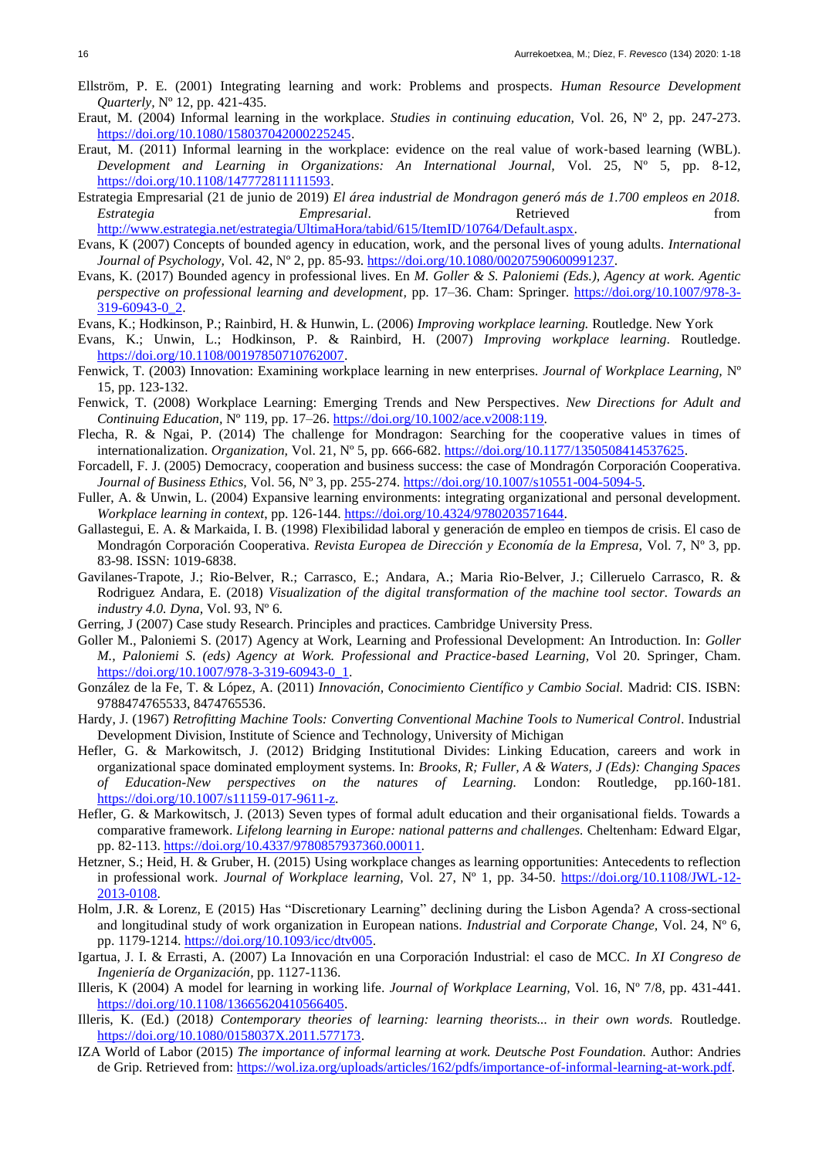- Ellström, P. E. (2001) Integrating learning and work: Problems and prospects. *Human Resource Development Quarterly,* Nº 12, pp. 421-435.
- Eraut, M. (2004) Informal learning in the workplace. *Studies in continuing education,* Vol. 26, Nº 2, pp. 247-273. [https://doi.org/10.1080/158037042000225245.](https://doi.org/10.1080/158037042000225245)
- Eraut, M. (2011) Informal learning in the workplace: evidence on the real value of work‐based learning (WBL). *Development and Learning in Organizations: An International Journal,* Vol. 25, Nº 5, pp. 8-12, [https://doi.org/10.1108/147772811111593.](https://doi.org/10.1108/147772811111593)
- Estrategia Empresarial (21 de junio de 2019) *El área industrial de Mondragon generó más de 1.700 empleos en 2018. Estrategia Empresarial*. Retrieved from
- [http://www.estrategia.net/estrategia/UltimaHora/tabid/615/ItemID/10764/Default.aspx.](http://www.estrategia.net/estrategia/UltimaHora/tabid/615/ItemID/10764/Default.aspx)
- Evans, K (2007) Concepts of bounded agency in education, work, and the personal lives of young adults. *International Journal of Psychology,* Vol. 42, Nº 2, pp. 85-93. [https://doi.org/10.1080/00207590600991237.](https://doi.org/10.1080/00207590600991237)
- Evans, K. (2017) Bounded agency in professional lives. En *M. Goller & S. Paloniemi (Eds.), Agency at work. Agentic perspective on professional learning and development,* pp. 17–36. Cham: Springer. [https://doi.org/10.1007/978-3-](https://doi.org/10.1007/978-3-319-60943-0_2) [319-60943-0\\_2.](https://doi.org/10.1007/978-3-319-60943-0_2)
- Evans, K.; Hodkinson, P.; Rainbird, H. & Hunwin, L. (2006) *Improving workplace learning.* Routledge. New York
- Evans, K.; Unwin, L.; Hodkinson, P. & Rainbird, H. (2007) *Improving workplace learning*. Routledge. [https://doi.org/10.1108/00197850710762007.](https://doi.org/10.1108/00197850710762007)
- Fenwick, T. (2003) Innovation: Examining workplace learning in new enterprises. *Journal of Workplace Learning,* Nº 15*,* pp. 123-132.
- Fenwick, T. (2008) Workplace Learning: Emerging Trends and New Perspectives. *New Directions for Adult and Continuing Education,* Nº 119, pp. 17–26. [https://doi.org/10.1002/ace.v2008:119.](https://doi.org/10.1002/ace.v2008:119)
- Flecha, R. & Ngai, P. (2014) The challenge for Mondragon: Searching for the cooperative values in times of internationalization. *Organization,* Vol. 21, Nº 5, pp. 666-682. [https://doi.org/10.1177/1350508414537625.](https://doi.org/10.1177/1350508414537625)
- Forcadell, F. J. (2005) Democracy, cooperation and business success: the case of Mondragón Corporación Cooperativa. *Journal of Business Ethics,* Vol. 56, Nº 3, pp. 255-274. [https://doi.org/10.1007/s10551-004-5094-5.](https://doi.org/10.1007/s10551-004-5094-5)
- Fuller, A. & Unwin, L. (2004) Expansive learning environments: integrating organizational and personal development. *Workplace learning in context*, pp. 126-144[. https://doi.org/10.4324/9780203571644.](https://doi.org/10.4324/9780203571644)
- Gallastegui, E. A. & Markaida, I. B. (1998) Flexibilidad laboral y generación de empleo en tiempos de crisis. El caso de Mondragón Corporación Cooperativa. *Revista Europea de Dirección y Economía de la Empresa,* Vol. 7, Nº 3*,* pp. 83-98. ISSN: 1019-6838.
- Gavilanes-Trapote, J.; Rio-Belver, R.; Carrasco, E.; Andara, A.; Maria Rio-Belver, J.; Cilleruelo Carrasco, R. & Rodriguez Andara, E. (2018) *Visualization of the digital transformation of the machine tool sector. Towards an industry 4.0. Dyna,* Vol. 93, Nº 6*.*
- Gerring, J (2007) Case study Research. Principles and practices. Cambridge University Press.
- Goller M., Paloniemi S. (2017) Agency at Work, Learning and Professional Development: An Introduction. In: *Goller M., Paloniemi S. (eds) Agency at Work. Professional and Practice-based Learning,* Vol 20*.* Springer, Cham. [https://doi.org/10.1007/978-3-319-60943-0\\_1.](https://doi.org/10.1007/978-3-319-60943-0_1)
- González de la Fe, T. & López, A. (2011) *Innovación, Conocimiento Científico y Cambio Social.* Madrid: CIS. ISBN: 9788474765533, 8474765536.
- Hardy, J. (1967) *Retrofitting Machine Tools: Converting Conventional Machine Tools to Numerical Control*. Industrial Development Division, Institute of Science and Technology, University of Michigan
- Hefler, G. & Markowitsch, J. (2012) Bridging Institutional Divides: Linking Education, careers and work in organizational space dominated employment systems. In: *Brooks, R; Fuller, A & Waters, J (Eds): Changing Spaces of Education-New perspectives on the natures of Learning.* London: Routledge, pp.160-181. [https://doi.org/10.1007/s11159-017-9611-z.](https://doi.org/10.1007/s11159-017-9611-z)
- Hefler, G. & Markowitsch, J. (2013) Seven types of formal adult education and their organisational fields. Towards a comparative framework. *Lifelong learning in Europe: national patterns and challenges.* Cheltenham: Edward Elgar, pp. 82-113. [https://doi.org/10.4337/9780857937360.00011.](https://doi.org/10.4337/9780857937360.00011)
- Hetzner, S.; Heid, H. & Gruber, H. (2015) Using workplace changes as learning opportunities: Antecedents to reflection in professional work. *Journal of Workplace learning,* Vol. 27, Nº 1, pp. 34-50. [https://doi.org/10.1108/JWL-12-](https://doi.org/10.1108/JWL-12-2013-0108) [2013-0108.](https://doi.org/10.1108/JWL-12-2013-0108)
- Holm, J.R. & Lorenz, E (2015) Has "Discretionary Learning" declining during the Lisbon Agenda? A cross-sectional and longitudinal study of work organization in European nations. *Industrial and Corporate Change,* Vol. 24, Nº 6, pp. 1179-1214. [https://doi.org/10.1093/icc/dtv005.](https://doi.org/10.1093/icc/dtv005)
- Igartua, J. I. & Errasti, A. (2007) La Innovación en una Corporación Industrial: el caso de MCC. *In XI Congreso de Ingeniería de Organización,* pp. 1127-1136.
- Illeris, K (2004) A model for learning in working life. *Journal of Workplace Learning,* Vol. 16, Nº 7/8*,* pp. 431-441. [https://doi.org/10.1108/13665620410566405.](https://doi.org/10.1108/13665620410566405)
- Illeris, K. (Ed.) (2018*) Contemporary theories of learning: learning theorists... in their own words.* Routledge. [https://doi.org/10.1080/0158037X.2011.577173.](https://doi.org/10.1080/0158037X.2011.577173)
- IZA World of Labor (2015) *The importance of informal learning at work. Deutsche Post Foundation.* Author: Andries de Grip. Retrieved from: [https://wol.iza.org/uploads/articles/162/pdfs/importance-of-informal-learning-at-work.pdf.](https://wol.iza.org/uploads/articles/162/pdfs/importance-of-informal-learning-at-work.pdf)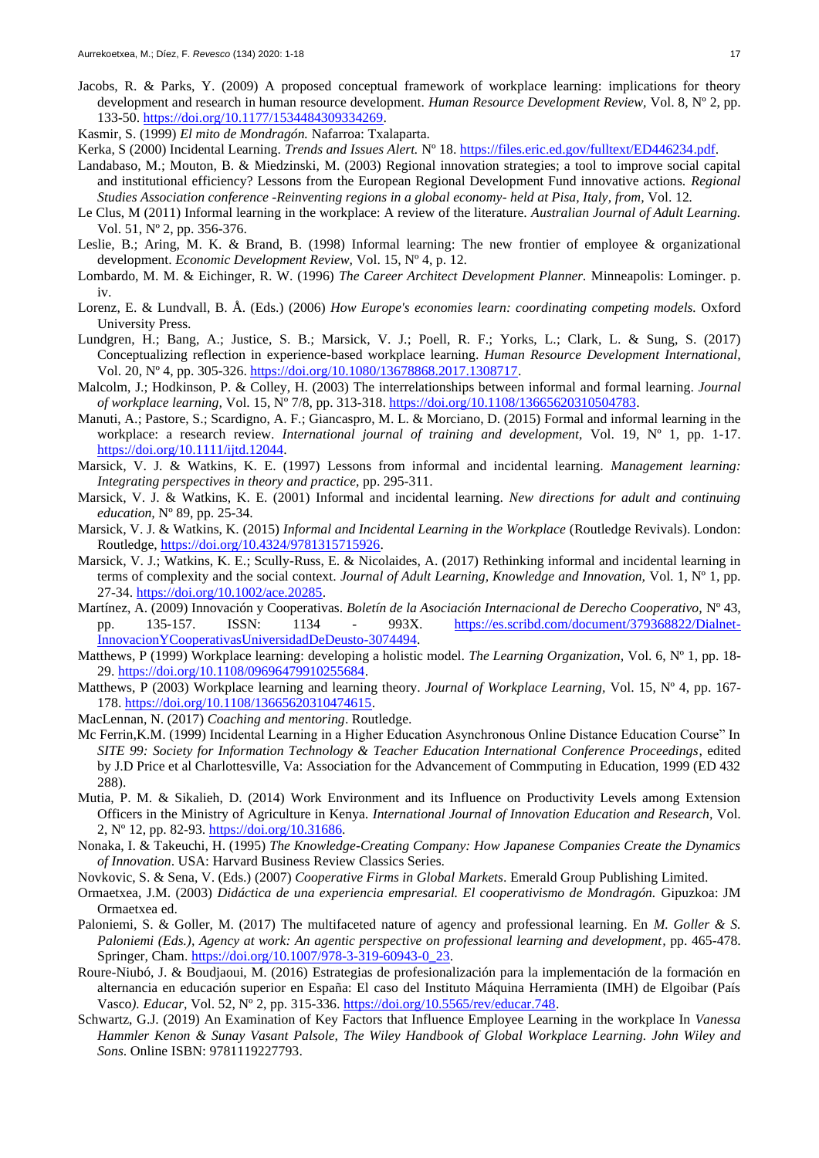- Jacobs, R. & Parks, Y. (2009) A proposed conceptual framework of workplace learning: implications for theory development and research in human resource development. *Human Resource Development Review,* Vol. 8, Nº 2, pp. 133-50. [https://doi.org/10.1177/1534484309334269.](https://doi.org/10.1177/1534484309334269)
- Kasmir, S. (1999) *El mito de Mondragón.* Nafarroa: Txalaparta.
- Kerka, S (2000) Incidental Learning. *Trends and Issues Alert.* Nº 18. [https://files.eric.ed.gov/fulltext/ED446234.pdf.](https://files.eric.ed.gov/fulltext/ED446234.pdf)
- Landabaso, M.; Mouton, B. & Miedzinski, M. (2003) Regional innovation strategies; a tool to improve social capital and institutional efficiency? Lessons from the European Regional Development Fund innovative actions. *Regional Studies Association conference -Reinventing regions in a global economy- held at Pisa, Italy, from,* Vol. 12*.*
- Le Clus, M (2011) Informal learning in the workplace: A review of the literature. *Australian Journal of Adult Learning.*  Vol. 51, Nº 2, pp. 356-376.
- Leslie, B.; Aring, M. K. & Brand, B. (1998) Informal learning: The new frontier of employee & organizational development. *Economic Development Review,* Vol. 15, Nº 4, p. 12.
- Lombardo, M. M. & Eichinger, R. W. (1996) *The Career Architect Development Planner.* Minneapolis: Lominger. p. iv.
- Lorenz, E. & Lundvall, B. Å. (Eds.) (2006) *How Europe's economies learn: coordinating competing models.* Oxford University Press.
- Lundgren, H.; Bang, A.; Justice, S. B.; Marsick, V. J.; Poell, R. F.; Yorks, L.; Clark, L. & Sung, S. (2017) Conceptualizing reflection in experience-based workplace learning. *Human Resource Development International,*  Vol. 20, Nº 4, pp. 305-326. [https://doi.org/10.1080/13678868.2017.1308717.](https://doi.org/10.1080/13678868.2017.1308717)
- Malcolm, J.; Hodkinson, P. & Colley, H. (2003) The interrelationships between informal and formal learning. *Journal of workplace learning,* Vol. 15, Nº 7/8, pp. 313-318. [https://doi.org/10.1108/13665620310504783.](https://doi.org/10.1108/13665620310504783)
- Manuti, A.; Pastore, S.; Scardigno, A. F.; Giancaspro, M. L. & Morciano, D. (2015) Formal and informal learning in the workplace: a research review. *International journal of training and development,* Vol. 19, Nº 1, pp. 1-17. [https://doi.org/10.1111/ijtd.12044.](https://doi.org/10.1111/ijtd.12044)
- Marsick, V. J. & Watkins, K. E. (1997) Lessons from informal and incidental learning. *Management learning: Integrating perspectives in theory and practice*, pp. 295-311.
- Marsick, V. J. & Watkins, K. E. (2001) Informal and incidental learning. *New directions for adult and continuing education,* Nº 89, pp. 25-34.
- Marsick, V. J. & Watkins, K. (2015) *Informal and Incidental Learning in the Workplace* (Routledge Revivals). London: Routledge, [https://doi.org/10.4324/9781315715926.](https://doi.org/10.4324/9781315715926)
- Marsick, V. J.; Watkins, K. E.; Scully-Russ, E. & Nicolaides, A. (2017) Rethinking informal and incidental learning in terms of complexity and the social context. *Journal of Adult Learning, Knowledge and Innovation,* Vol. 1, Nº 1, pp. 27-34. [https://doi.org/10.1002/ace.20285.](https://doi.org/10.1002/ace.20285)
- Martínez, A. (2009) Innovación y Cooperativas. *Boletín de la Asociación Internacional de Derecho Cooperativo,* Nº 43, pp. 135-157. ISSN: 1134 - 993X. [https://es.scribd.com/document/379368822/Dialnet-](https://es.scribd.com/document/379368822/Dialnet-InnovacionYCooperativasUniversidadDeDeusto-3074494)[InnovacionYCooperativasUniversidadDeDeusto-3074494.](https://es.scribd.com/document/379368822/Dialnet-InnovacionYCooperativasUniversidadDeDeusto-3074494)
- Matthews, P (1999) Workplace learning: developing a holistic model. *The Learning Organization,* Vol. 6, Nº 1, pp. 18- 29. [https://doi.org/10.1108/09696479910255684.](https://doi.org/10.1108/09696479910255684)
- Matthews, P (2003) Workplace learning and learning theory. *Journal of Workplace Learning,* Vol. 15, Nº 4, pp. 167- 178. [https://doi.org/10.1108/13665620310474615.](https://doi.org/10.1108/13665620310474615)
- MacLennan, N. (2017) *Coaching and mentoring*. Routledge.
- Mc Ferrin,K.M. (1999) Incidental Learning in a Higher Education Asynchronous Online Distance Education Course" In *SITE 99: Society for Information Technology & Teacher Education International Conference Proceedings*, edited by J.D Price et al Charlottesville, Va: Association for the Advancement of Commputing in Education, 1999 (ED 432 288).
- Mutia, P. M. & Sikalieh, D. (2014) Work Environment and its Influence on Productivity Levels among Extension Officers in the Ministry of Agriculture in Kenya*. International Journal of Innovation Education and Research,* Vol. 2, Nº 12, pp. 82-93. [https://doi.org/10.31686.](https://doi.org/10.31686)
- Nonaka, I. & Takeuchi, H. (1995) *The Knowledge-Creating Company: How Japanese Companies Create the Dynamics of Innovation*. USA: Harvard Business Review Classics Series.
- Novkovic, S. & Sena, V. (Eds.) (2007) *Cooperative Firms in Global Markets*. Emerald Group Publishing Limited.
- Ormaetxea, J.M. (2003) *Didáctica de una experiencia empresarial. El cooperativismo de Mondragón.* Gipuzkoa: JM Ormaetxea ed.
- Paloniemi, S. & Goller, M. (2017) The multifaceted nature of agency and professional learning. En *M. Goller & S. Paloniemi (Eds.), Agency at work: An agentic perspective on professional learning and development,* pp. 465-478. Springer, Cham. [https://doi.org/10.1007/978-3-319-60943-0\\_23.](https://doi.org/10.1007/978-3-319-60943-0_23)
- Roure-Niubó, J. & Boudjaoui, M. (2016) Estrategias de profesionalización para la implementación de la formación en alternancia en educación superior en España: El caso del Instituto Máquina Herramienta (IMH) de Elgoibar (País Vasco*). Educar,* Vol. 52, Nº 2, pp. 315-336. [https://doi.org/10.5565/rev/educar.748.](https://doi.org/10.5565/rev/educar.748)
- Schwartz, G.J. (2019) An Examination of Key Factors that Influence Employee Learning in the workplace In *Vanessa Hammler Kenon & Sunay Vasant Palsole, The Wiley Handbook of Global Workplace Learning. John Wiley and Sons*. Online ISBN: 9781119227793.